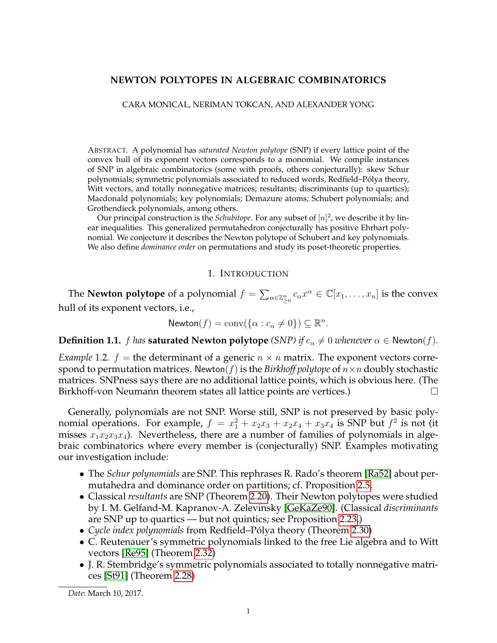# **NEWTON POLYTOPES IN ALGEBRAIC COMBINATORICS**

CARA MONICAL, NERIMAN TOKCAN, AND ALEXANDER YONG

ABSTRACT. A polynomial has *saturated Newton polytope* (SNP) if every lattice point of the convex hull of its exponent vectors corresponds to a monomial. We compile instances of SNP in algebraic combinatorics (some with proofs, others conjecturally): skew Schur polynomials; symmetric polynomials associated to reduced words, Redfield–Polya theory, ´ Witt vectors, and totally nonnegative matrices; resultants; discriminants (up to quartics); Macdonald polynomials; key polynomials; Demazure atoms; Schubert polynomials; and Grothendieck polynomials, among others.

Our principal construction is the *Schubitope*. For any subset of  $[n]^2$ , we describe it by linear inequalities. This generalized permutahedron conjecturally has positive Ehrhart polynomial. We conjecture it describes the Newton polytope of Schubert and key polynomials. We also define *dominance order* on permutations and study its poset-theoretic properties.

#### 1. INTRODUCTION

The **Newton polytope** of a polynomial  $f = \sum_{\alpha \in \mathbb{Z}_{\geq 0}^n} c_\alpha x^\alpha \in \mathbb{C}[x_1,\ldots,x_n]$  is the convex hull of its exponent vectors, i.e.,

$$
\mathsf{Newton}(f) = \mathrm{conv}(\{\alpha : c_{\alpha} \neq 0\}) \subseteq \mathbb{R}^n.
$$

**Definition 1.1.** *f has* **saturated Newton polytope** *(SNP)* if  $c_{\alpha} \neq 0$  *whenever*  $\alpha \in$  Newton(*f*).

*Example* 1.2.  $f =$  the determinant of a generic  $n \times n$  matrix. The exponent vectors correspond to permutation matrices. Newton( $f$ ) is the *Birkhoff polytope* of  $n \times n$  doubly stochastic matrices. SNPness says there are no additional lattice points, which is obvious here. (The Birkhoff-von Neumann theorem states all lattice points are vertices.)

Generally, polynomials are not SNP. Worse still, SNP is not preserved by basic polynomial operations. For example,  $f = x_1^2 + x_2x_3 + x_2x_4 + x_3x_4$  is SNP but  $f^2$  is not (it misses  $x_1x_2x_3x_4$ ). Nevertheless, there are a number of families of polynomials in algebraic combinatorics where every member is (conjecturally) SNP. Examples motivating our investigation include:

- The *Schur polynomials* are SNP. This rephrases R. Rado's theorem [\[Ra52\]](#page-28-0) about permutahedra and dominance order on partitions; cf. Proposition [2.5.](#page-3-0)
- Classical *resultants* are SNP (Theorem [2.20\)](#page-8-0). Their Newton polytopes were studied by I. M. Gelfand-M. Kapranov-A. Zelevinsky [\[GeKaZe90\]](#page-28-1). (Classical *discriminants* are SNP up to quartics — but not quintics; see Proposition [2.23.](#page-9-0))
- *Cycle index polynomials* from Redfield–Polya theory (Theorem [2.30\)](#page-10-0) ´
- C. Reutenauer's symmetric polynomials linked to the free Lie algebra and to Witt vectors [\[Re95\]](#page-28-2) (Theorem [2.32\)](#page-11-0)
- J. R. Stembridge's symmetric polynomials associated to totally nonnegative matrices [\[St91\]](#page-29-0) (Theorem [2.28\)](#page-10-1)

*Date*: March 10, 2017.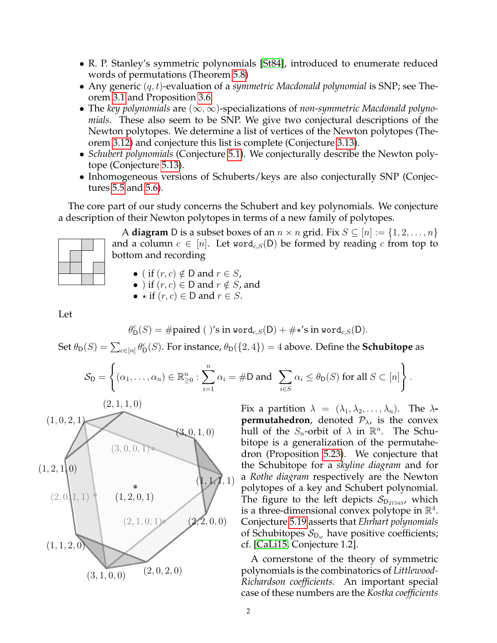- R. P. Stanley's symmetric polynomials [\[St84\]](#page-28-3), introduced to enumerate reduced words of permutations (Theorem [5.8\)](#page-21-0)
- Any generic (q, t)-evaluation of a *symmetric Macdonald polynomial* is SNP; see Theorem [3.1](#page-12-0) and Proposition [3.6.](#page-13-0)
- The *key polynomials* are (∞,∞)-specializations of *non-symmetric Macdonald polynomials*. These also seem to be SNP. We give two conjectural descriptions of the Newton polytopes. We determine a list of vertices of the Newton polytopes (Theorem [3.12\)](#page-15-0) and conjecture this list is complete (Conjecture [3.13\)](#page-15-1).
- *Schubert polynomials* (Conjecture [5.1\)](#page-19-0). We conjecturally describe the Newton polytope (Conjecture [5.13\)](#page-22-0).
- Inhomogeneous versions of Schuberts/keys are also conjecturally SNP (Conjectures [5.5](#page-20-0) and [5.6\)](#page-20-1).

The core part of our study concerns the Schubert and key polynomials. We conjecture a description of their Newton polytopes in terms of a new family of polytopes.

A **diagram** D is a subset boxes of an  $n \times n$  grid. Fix  $S \subseteq [n] := \{1, 2, ..., n\}$ and a column  $c \in [n]$ . Let word<sub>c,S</sub>(D) be formed by reading c from top to bottom and recording

• ( if  $(r, c) \notin D$  and  $r \in S$ ,

- ) if  $(r, c) \in D$  and  $r \notin S$ , and
- $\star$  if  $(r, c) \in D$  and  $r \in S$ .

Let

$$
\theta_{\mathsf{D}}^c(S) = \# \text{paired } (\text{ )'s in word}_{c,S}(\mathsf{D}) + \# \star's \text{ in word}_{c,S}(\mathsf{D}).
$$

Set  $\theta_{\textsf{D}}(S) = \sum_{c \in [n]} \theta_{\textsf{D}}^c(S)$ . For instance,  $\theta_{\textsf{D}}(\{2,4\}) = 4$  above. Define the **Schubitope** as

$$
\mathcal{S}_{\mathsf{D}} = \left\{ (\alpha_1, \ldots, \alpha_n) \in \mathbb{R}_{\geq 0}^n : \sum_{i=1}^n \alpha_i = \# \mathsf{D} \text{ and } \sum_{i \in S} \alpha_i \leq \theta_{\mathsf{D}}(S) \text{ for all } S \subset [n] \right\}.
$$



Fix a partition  $\lambda = (\lambda_1, \lambda_2, \ldots, \lambda_n)$ . The  $\lambda$ **permutahedron**, denoted  $P_{\lambda}$ , is the convex hull of the  $S_n$ -orbit of  $\lambda$  in  $\mathbb{R}^n$ . The Schubitope is a generalization of the permutahedron (Proposition [5.23\)](#page-26-0). We conjecture that the Schubitope for a *skyline diagram* and for a *Rothe diagram* respectively are the Newton polytopes of a key and Schubert polynomial. The figure to the left depicts  $S_{D_{21543}}$ , which is a three-dimensional convex polytope in  $\mathbb{R}^4$ . Conjecture [5.19](#page-24-0) asserts that *Ehrhart polynomials* of Schubitopes  $S_{D_w}$  have positive coefficients; cf. [\[CaLi15,](#page-27-0) Conjecture 1.2].

A cornerstone of the theory of symmetric polynomials is the combinatorics of *Littlewood-Richardson coefficients*. An important special case of these numbers are the *Kostka coefficients*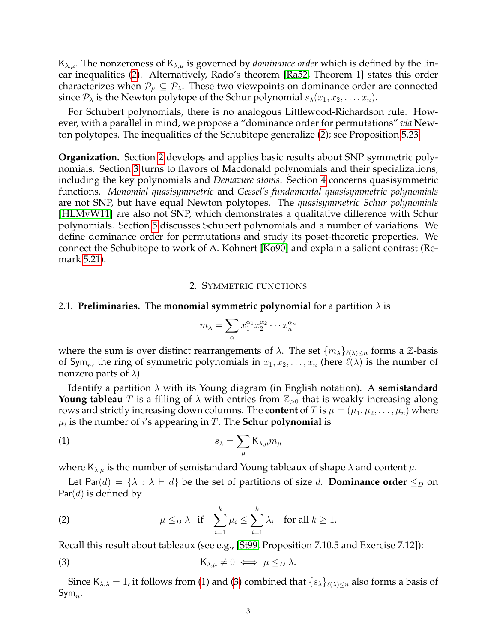$K_{\lambda,\mu}$ . The nonzeroness of  $K_{\lambda,\mu}$  is governed by *dominance order* which is defined by the linear inequalities [\(2\)](#page-2-0). Alternatively, Rado's theorem [\[Ra52,](#page-28-0) Theorem 1] states this order characterizes when  $P_{\mu} \subseteq P_{\lambda}$ . These two viewpoints on dominance order are connected since  $P_{\lambda}$  is the Newton polytope of the Schur polynomial  $s_{\lambda}(x_1, x_2, \ldots, x_n)$ .

For Schubert polynomials, there is no analogous Littlewood-Richardson rule. However, with a parallel in mind, we propose a "dominance order for permutations" *via* Newton polytopes. The inequalities of the Schubitope generalize [\(2\)](#page-2-0); see Proposition [5.23.](#page-26-0)

**Organization.** Section [2](#page-2-1) develops and applies basic results about SNP symmetric polynomials. Section [3](#page-12-1) turns to flavors of Macdonald polynomials and their specializations, including the key polynomials and *Demazure atoms*. Section [4](#page-16-0) concerns quasisymmetric functions. *Monomial quasisymmetric* and *Gessel's fundamental quasisymmetric polynomials* are not SNP, but have equal Newton polytopes. The *quasisymmetric Schur polynomials* [\[HLMvW11\]](#page-28-4) are also not SNP, which demonstrates a qualitative difference with Schur polynomials. Section [5](#page-19-1) discusses Schubert polynomials and a number of variations. We define dominance order for permutations and study its poset-theoretic properties. We connect the Schubitope to work of A. Kohnert [\[Ko90\]](#page-28-5) and explain a salient contrast (Remark [5.21\)](#page-26-1).

#### 2. SYMMETRIC FUNCTIONS

# <span id="page-2-1"></span>2.1. **Preliminaries.** The **monomial symmetric polynomial** for a partition  $\lambda$  is

<span id="page-2-2"></span>
$$
m_{\lambda} = \sum_{\alpha} x_1^{\alpha_1} x_2^{\alpha_2} \cdots x_n^{\alpha_n}
$$

where the sum is over distinct rearrangements of  $\lambda$ . The set  $\{m_{\lambda}\}_{\ell(\lambda)\leq n}$  forms a Z-basis of Sym<sub>n</sub>, the ring of symmetric polynomials in  $x_1, x_2, \ldots, x_n$  (here  $\ell(\lambda)$  is the number of nonzero parts of  $\lambda$ ).

Identify a partition λ with its Young diagram (in English notation). A **semistandard Young tableau** T is a filling of  $\lambda$  with entries from  $\mathbb{Z}_{>0}$  that is weakly increasing along rows and strictly increasing down columns. The **content** of T is  $\mu = (\mu_1, \mu_2, \dots, \mu_n)$  where  $\mu_i$  is the number of  $i'$ s appearing in  $T.$  The  ${\bf Schur}$  polynomial is

$$
s_{\lambda} = \sum_{\mu} \mathsf{K}_{\lambda,\mu} m_{\mu}
$$

where  $K_{\lambda,\mu}$  is the number of semistandard Young tableaux of shape  $\lambda$  and content  $\mu$ .

Let Par(d) = { $\lambda : \lambda \vdash d$ } be the set of partitions of size d. **Dominance order**  $\leq_D$  on  $Par(d)$  is defined by

<span id="page-2-0"></span>(2) 
$$
\mu \leq_D \lambda
$$
 if  $\sum_{i=1}^k \mu_i \leq \sum_{i=1}^k \lambda_i$  for all  $k \geq 1$ .

Recall this result about tableaux (see e.g., [\[St99,](#page-29-1) Proposition 7.10.5 and Exercise 7.12]):

<span id="page-2-3"></span>(3) 
$$
K_{\lambda,\mu}\neq 0 \iff \mu \leq_D \lambda.
$$

Since  $K_{\lambda,\lambda} = 1$ , it follows from [\(1\)](#page-2-2) and [\(3\)](#page-2-3) combined that  $\{s_\lambda\}_{\ell(\lambda)\leq n}$  also forms a basis of Sym $_n$ .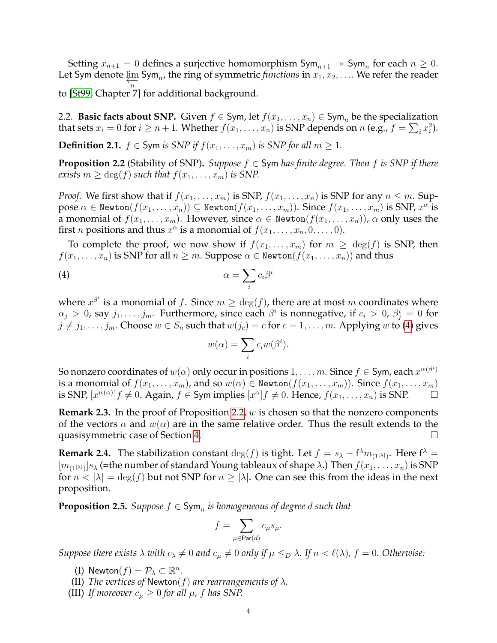Setting  $x_{n+1} = 0$  defines a surjective homomorphism  $\mathsf{Sym}_{n+1} \to \mathsf{Sym}_n$  for each  $n \geq 0$ . Let Sym denote  $\varprojlim_n$  Sym<sub>n</sub>, the ring of symmetric *functions* in  $x_1, x_2, \ldots$ . We refer the reader to [\[St99,](#page-29-1) Chapter 7] for additional background.

2.2. **Basic facts about SNP.** Given  $f \in Sym$ , let  $f(x_1, \ldots, x_n) \in Sym$  be the specialization that sets  $x_i = 0$  for  $i \ge n+1$ . Whether  $f(x_1, \ldots, x_n)$  is SNP depends on  $n$  (e.g.,  $f = \sum_i x_i^2$ ).

**Definition 2.1.**  $f \in \textsf{Sym}$  *is SNP if*  $f(x_1, \ldots, x_m)$  *is SNP for all*  $m > 1$ *.* 

<span id="page-3-2"></span>**Proposition 2.2** (Stability of SNP). *Suppose*  $f \in Sym$  *has finite degree. Then*  $f$  *is SNP if there exists*  $m \geq \deg(f)$  *such that*  $f(x_1, \ldots, x_m)$  *is SNP.* 

*Proof.* We first show that if  $f(x_1, \ldots, x_m)$  is SNP,  $f(x_1, \ldots, x_n)$  is SNP for any  $n \leq m$ . Sup- $\texttt{pose}~\alpha\in\texttt{Newton}(f(x_1,\ldots,x_n))\subseteq\texttt{Newton}(f(x_1,\ldots,x_m)).~\texttt{Since}~f(x_1,\ldots,x_m)~\text{is SNP},x^\alpha\text{ is}$ a monomial of  $f(x_1, \ldots, x_m)$ . However, since  $\alpha \in \text{Newton}(f(x_1, \ldots, x_n))$ ,  $\alpha$  only uses the first *n* positions and thus  $x^{\alpha}$  is a monomial of  $f(x_1, \ldots, x_n, 0, \ldots, 0)$ .

To complete the proof, we now show if  $f(x_1, \ldots, x_m)$  for  $m \geq \deg(f)$  is SNP, then  $f(x_1, \ldots, x_n)$  is SNP for all  $n \geq m$ . Suppose  $\alpha \in \text{Newton}(f(x_1, \ldots, x_n))$  and thus

$$
\alpha = \sum_i c_i \beta^i
$$

where  $x^{\beta^i}$  is a monomial of f. Since  $m \ge \deg(f)$ , there are at most m coordinates where  $\alpha_j > 0$ , say  $j_1, \ldots, j_m$ . Furthermore, since each  $\beta^i$  is nonnegative, if  $c_i > 0$ ,  $\beta^i_j = 0$  for  $j \neq j_1, \ldots, j_m$ . Choose  $w \in S_n$  such that  $w(j_c) = c$  for  $c = 1, \ldots, m$ . Applying w to [\(4\)](#page-3-1) gives

<span id="page-3-1"></span>
$$
w(\alpha) = \sum_{i} c_i w(\beta^i).
$$

So nonzero coordinates of  $w(\alpha)$  only occur in positions  $1,\ldots,m.$  Since  $f\in$  Sym, each  $x^{w(\beta^i)}$ is a monomial of  $f(x_1, \ldots, x_m)$ , and so  $w(\alpha) \in \text{Newton}(f(x_1, \ldots, x_m))$ . Since  $f(x_1, \ldots, x_m)$ is SNP,  $[x^{w(\alpha)}]f \neq 0$ . Again,  $f \in \text{Sym implies } [x^{\alpha}]f \neq 0$ . Hence,  $f(x_1, \ldots, x_n)$  is SNP.  $\Box$ 

<span id="page-3-3"></span>**Remark 2.3.** In the proof of Proposition [2.2,](#page-3-2) w is chosen so that the nonzero components of the vectors  $\alpha$  and  $w(\alpha)$  are in the same relative order. Thus the result extends to the quasisymmetric case of Section [4.](#page-16-0)

**Remark 2.4.** The stabilization constant  $\deg(f)$  is tight. Let  $f = s_{\lambda} - f^{\lambda} m_{(1^{|\lambda|})}$ . Here  $f^{\lambda} =$  $[m_{(1^{|\lambda|})}]s_{\lambda}$  (=the number of standard Young tableaux of shape  $\lambda$ .) Then  $f(x_1, \ldots, x_n)$  is SNP for  $n < |\lambda| = \deg(f)$  but not SNP for  $n \ge |\lambda|$ . One can see this from the ideas in the next proposition.

<span id="page-3-0"></span>**Proposition 2.5.** Suppose  $f \in \mathsf{Sym}_n$  is homogeneous of degree  $d$  such that

$$
f = \sum_{\mu \in \text{Par}(d)} c_{\mu} s_{\mu}.
$$

*Suppose there exists*  $\lambda$  *with*  $c_{\lambda} \neq 0$  *and*  $c_{\mu} \neq 0$  *only if*  $\mu \leq_D \lambda$ *. If*  $n < \ell(\lambda)$ *,*  $f = 0$ *. Otherwise:* 

- (I) Newton $(f) = \mathcal{P}_\lambda \subset \mathbb{R}^n$ .
- (II) *The vertices of* Newton( $f$ ) *are rearrangements of*  $\lambda$ *.*
- (III) If moreover  $c_{\mu} \geq 0$  for all  $\mu$ , f has SNP.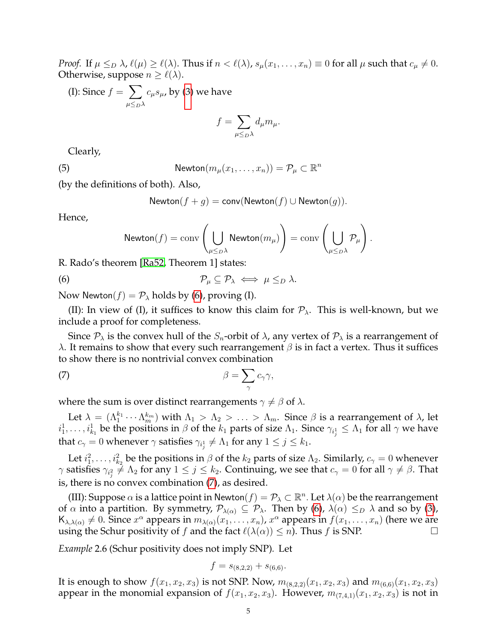*Proof.* If  $\mu \leq_D \lambda$ ,  $\ell(\mu) \geq \ell(\lambda)$ . Thus if  $n < \ell(\lambda)$ ,  $s_\mu(x_1, \ldots, x_n) \equiv 0$  for all  $\mu$  such that  $c_\mu \neq 0$ . Otherwise, suppose  $n \geq \ell(\lambda)$ .

(I): Since 
$$
f = \sum_{\mu \leq D^{\lambda}} c_{\mu} s_{\mu}
$$
, by (3) we have

$$
f = \sum_{\mu \leq_D \lambda} d_{\mu} m_{\mu}.
$$

Clearly,

(5) 
$$
\mathsf{Newton}(m_\mu(x_1,\ldots,x_n)) = \mathcal{P}_\mu \subset \mathbb{R}^n
$$

(by the definitions of both). Also,

<span id="page-4-3"></span>Newton
$$
(f+g)
$$
 = conv(Newton $(f)$   $\cup$  Newton $(g)$ ).

Hence,

<span id="page-4-0"></span>
$$
\textsf{Newton}(f)=\mathrm{conv}\left(\bigcup_{\mu\leq_D\lambda}\textsf{Newton}(m_\mu)\right)=\mathrm{conv}\left(\bigcup_{\mu\leq_D\lambda}\mathcal{P}_\mu\right).
$$

R. Rado's theorem [\[Ra52,](#page-28-0) Theorem 1] states:

$$
\mathcal{P}_{\mu} \subseteq \mathcal{P}_{\lambda} \iff \mu \leq_D \lambda.
$$

Now Newton $(f) = \mathcal{P}_{\lambda}$  holds by [\(6\)](#page-4-0), proving (I).

(II): In view of (I), it suffices to know this claim for  $P_{\lambda}$ . This is well-known, but we include a proof for completeness.

Since  $P_{\lambda}$  is the convex hull of the  $S_n$ -orbit of  $\lambda$ , any vertex of  $P_{\lambda}$  is a rearrangement of λ. It remains to show that every such rearrangement  $\beta$  is in fact a vertex. Thus it suffices to show there is no nontrivial convex combination

<span id="page-4-1"></span>(7) 
$$
\beta = \sum_{\gamma} c_{\gamma} \gamma,
$$

where the sum is over distinct rearrangements  $\gamma \neq \beta$  of  $\lambda$ .

Let  $\lambda = (\Lambda_1^{k_1} \cdots \Lambda_m^{k_m})$  with  $\Lambda_1 > \Lambda_2 > \ldots > \Lambda_m$ . Since  $\beta$  is a rearrangement of  $\lambda$ , let  $i_1^1,\ldots,i_{k_1}^1$  be the positions in  $\beta$  of the  $k_1$  parts of size  $\Lambda_1$ . Since  $\gamma_{i_j^1}\leq\Lambda_1$  for all  $\gamma$  we have that  $c_{\gamma}=0$  whenever  $\gamma$  satisfies  $\gamma_{i^1_j}\neq \Lambda_1$  for any  $1\leq j\leq k_1.$ 

Let  $i_1^2, \ldots, i_{k_2}^2$  be the positions in  $\beta$  of the  $k_2$  parts of size  $\Lambda_2$ . Similarly,  $c_\gamma = 0$  whenever  $\gamma$  satisfies  $\gamma_{i_j^2}\neq \Lambda_2$  for any  $1\leq j\leq k_2.$  Continuing, we see that  $c_\gamma=0$  for all  $\gamma\neq \beta.$  That is, there is no convex combination [\(7\)](#page-4-1), as desired.

(III): Suppose  $\alpha$  is a lattice point in Newton $(f) = \mathcal{P}_\lambda \subset \mathbb{R}^n$ . Let  $\lambda(\alpha)$  be the rearrangement of  $\alpha$  into a partition. By symmetry,  $\mathcal{P}_{\lambda(\alpha)} \subseteq \mathcal{P}_{\lambda}$ . Then by [\(6\)](#page-4-0),  $\lambda(\alpha) \leq_D \lambda$  and so by [\(3\)](#page-2-3),  $\mathsf{K}_{\lambda,\lambda(\alpha)} \neq 0$ . Since  $x^{\alpha}$  appears in  $m_{\lambda(\alpha)}(x_1,\ldots,x_n)$ ,  $x^{\alpha}$  appears in  $f(x_1,\ldots,x_n)$  (here we are using the Schur positivity of f and the fact  $\ell(\lambda(\alpha)) \leq n$ . Thus f is SNP.

<span id="page-4-2"></span>*Example* 2.6 (Schur positivity does not imply SNP)*.* Let

$$
f = s_{(8,2,2)} + s_{(6,6)}.
$$

It is enough to show  $f(x_1, x_2, x_3)$  is not SNP. Now,  $m_{(8,2,2)}(x_1, x_2, x_3)$  and  $m_{(6,6)}(x_1, x_2, x_3)$ appear in the monomial expansion of  $f(x_1, x_2, x_3)$ . However,  $m_{(7,4,1)}(x_1, x_2, x_3)$  is not in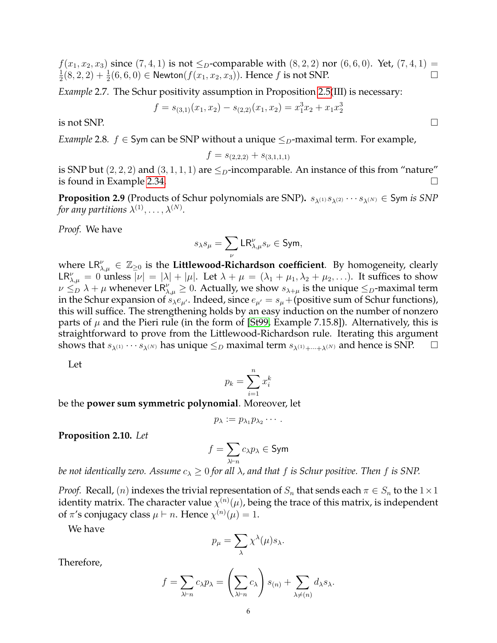$f(x_1, x_2, x_3)$  since  $(7, 4, 1)$  is not  $\leq_D$ -comparable with  $(8, 2, 2)$  nor  $(6, 6, 0)$ . Yet,  $(7, 4, 1)$  = 1  $\frac{1}{2}(8,2,2)+\frac{1}{2}(6,6,0) \in \mathsf{Newton}(f(x_1,x_2,x_3))$ . Hence f is not SNP.

*Example* 2.7*.* The Schur positivity assumption in Proposition [2.5\(](#page-3-0)III) is necessary:

$$
f = s_{(3,1)}(x_1, x_2) - s_{(2,2)}(x_1, x_2) = x_1^3 x_2 + x_1 x_2^3
$$

is not SNP.  $\Box$ 

*Example* 2.8*.*  $f \in Sym$  can be SNP without a unique  $\leq_D$ -maximal term. For example,

$$
f = s_{(2,2,2)} + s_{(3,1,1,1)}
$$

is SNP but  $(2, 2, 2)$  and  $(3, 1, 1, 1)$  are  $\leq_D$ -incomparable. An instance of this from "nature" is found in Example [2.34.](#page-11-1)

<span id="page-5-0"></span>**Proposition 2.9** (Products of Schur polynomials are SNP).  $s_{\lambda^{(1)}}s_{\lambda^{(2)}}\cdots s_{\lambda^{(N)}}\in S$ ym *is SNP* for any partitions  $\lambda^{(1)},\ldots,\lambda^{(N)}.$ 

*Proof.* We have

$$
s_\lambda s_\mu = \sum_\nu \mathsf{LR}^\nu_{\lambda,\mu} s_\nu \in \mathsf{Sym},
$$

where  $\mathsf{LR}_{\lambda,\mu}^{\nu} \in \mathbb{Z}_{\geq 0}$  is the Littlewood-Richardson coefficient. By homogeneity, clearly  $LR_{\lambda,\mu}^{\nu} = 0$  unless  $|\nu| = |\lambda| + |\mu|$ . Let  $\lambda + \mu = (\lambda_1 + \mu_1, \lambda_2 + \mu_2, \ldots)$ . It suffices to show  $\nu \leq_D \lambda + \mu$  whenever  $LR_{\lambda,\mu}^{\nu} \geq 0$ . Actually, we show  $s_{\lambda+\mu}$  is the unique  $\leq_D$ -maximal term in the Schur expansion of  $s_{\lambda}e_{\mu'}$ . Indeed, since  $e_{\mu'}=s_{\mu}+(\text{positive sum of Schur functions})$ , this will suffice. The strengthening holds by an easy induction on the number of nonzero parts of  $\mu$  and the Pieri rule (in the form of [\[St99,](#page-29-1) Example 7.15.8]). Alternatively, this is straightforward to prove from the Littlewood-Richardson rule. Iterating this argument shows that  $s_{\lambda^{(1)}} \cdots s_{\lambda^{(N)}}$  has unique  $\leq_D$  maximal term  $s_{\lambda^{(1)}+\cdots+\lambda^{(N)}}$  and hence is SNP.  $\Box$ 

Let

$$
p_k = \sum_{i=1}^n x_i^k
$$

be the **power sum symmetric polynomial**. Moreover, let

$$
p_{\lambda} := p_{\lambda_1} p_{\lambda_2} \cdots.
$$

<span id="page-5-1"></span>**Proposition 2.10.** *Let*

$$
f=\sum_{\lambda\vdash n}c_{\lambda}p_{\lambda}\in\mathsf{Sym}
$$

*be not identically zero. Assume*  $c_{\lambda} \geq 0$  *for all*  $\lambda$ *, and that*  $f$  *is Schur positive. Then*  $f$  *is SNP.* 

*Proof.* Recall,  $(n)$  indexes the trivial representation of  $S_n$  that sends each  $\pi \in S_n$  to the  $1 \times 1$ identity matrix. The character value  $\chi^{(n)}(\mu)$ , being the trace of this matrix, is independent of  $\pi$ 's conjugacy class  $\mu \vdash n$ . Hence  $\chi^{(n)}(\mu) = 1$ .

We have

$$
p_{\mu} = \sum_{\lambda} \chi^{\lambda}(\mu) s_{\lambda}.
$$

Therefore,

$$
f = \sum_{\lambda \vdash n} c_{\lambda} p_{\lambda} = \left(\sum_{\lambda \vdash n} c_{\lambda}\right) s_{(n)} + \sum_{\lambda \neq (n)} d_{\lambda} s_{\lambda}.
$$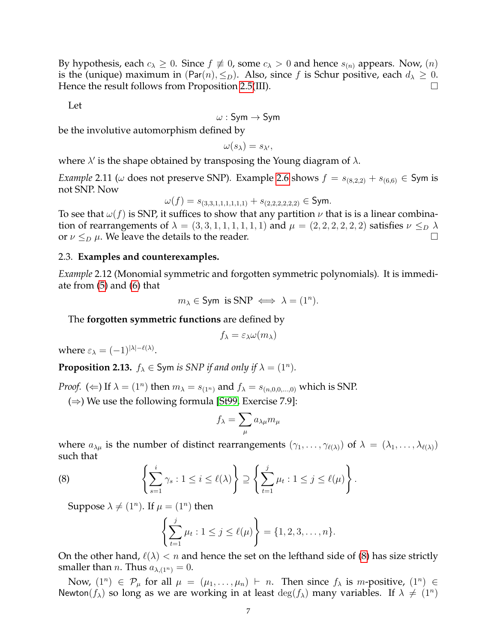By hypothesis, each  $c_{\lambda} \geq 0$ . Since  $f \not\equiv 0$ , some  $c_{\lambda} > 0$  and hence  $s_{(n)}$  appears. Now,  $(n)$ is the (unique) maximum in (Par(n),  $\leq_D$ ). Also, since f is Schur positive, each  $d_\lambda \geq 0$ . Hence the result follows from Proposition [2.5\(](#page-3-0)III).

Let

$$
\omega:\mathsf{Sym}\to\mathsf{Sym}
$$

be the involutive automorphism defined by

 $\omega(s_\lambda) = s_{\lambda'},$ 

where  $\lambda'$  is the shape obtained by transposing the Young diagram of  $\lambda$ .

*Example* 2.11 ( $\omega$  does not preserve SNP). Example [2.6](#page-4-2) shows  $f = s_{(8,2,2)} + s_{(6,6)} \in$  Sym is not SNP. Now

$$
\omega(f) = s_{(3,3,1,1,1,1,1,1)} + s_{(2,2,2,2,2,2)} \in \mathsf{Sym}.
$$

To see that  $\omega(f)$  is SNP, it suffices to show that any partition  $\nu$  that is is a linear combination of rearrangements of  $\lambda = (3, 3, 1, 1, 1, 1, 1, 1)$  and  $\mu = (2, 2, 2, 2, 2, 2)$  satisfies  $\nu \leq_D \lambda$ or  $\nu \leq_D \mu$ . We leave the details to the reader.

## 2.3. **Examples and counterexamples.**

*Example* 2.12 (Monomial symmetric and forgotten symmetric polynomials)*.* It is immediate from [\(5\)](#page-4-3) and [\(6\)](#page-4-0) that

 $m_{\lambda} \in$  Sym is SNP  $\iff \lambda = (1^n)$ .

The **forgotten symmetric functions** are defined by

$$
f_{\lambda} = \varepsilon_{\lambda} \omega(m_{\lambda})
$$

where  $\varepsilon_{\lambda} = (-1)^{|\lambda| - \ell(\lambda)}$ .

**Proposition 2.13.**  $f_{\lambda} \in$  Sym *is SNP if and only if*  $\lambda = (1^n)$ *.* 

*Proof.* ( $\Leftarrow$ ) If  $\lambda = (1^n)$  then  $m_{\lambda} = s_{(1^n)}$  and  $f_{\lambda} = s_{(n,0,0,...,0)}$  which is SNP.

( $\Rightarrow$ ) We use the following formula [\[St99,](#page-29-1) Exercise 7.9]:

$$
f_{\lambda} = \sum_{\mu} a_{\lambda\mu} m_{\mu}
$$

where  $a_{\lambda\mu}$  is the number of distinct rearrangements  $(\gamma_1, \ldots, \gamma_{\ell(\lambda)})$  of  $\lambda = (\lambda_1, \ldots, \lambda_{\ell(\lambda)})$ such that

(8) 
$$
\left\{\sum_{s=1}^i \gamma_s : 1 \leq i \leq \ell(\lambda)\right\} \supseteq \left\{\sum_{t=1}^j \mu_t : 1 \leq j \leq \ell(\mu)\right\}.
$$

Suppose  $\lambda \neq (1^n)$ . If  $\mu = (1^n)$  then

<span id="page-6-0"></span>
$$
\left\{\sum_{t=1}^j \mu_t : 1 \leq j \leq \ell(\mu)\right\} = \{1, 2, 3, \dots, n\}.
$$

On the other hand,  $\ell(\lambda) < n$  and hence the set on the lefthand side of [\(8\)](#page-6-0) has size strictly smaller than *n*. Thus  $a_{\lambda,(1^n)} = 0$ .

Now,  $(1^n) \in \mathcal{P}_{\mu}$  for all  $\mu = (\mu_1, \dots, \mu_n) \vdash n$ . Then since  $f_{\lambda}$  is m-positive,  $(1^n) \in$ Newton( $f_{\lambda}$ ) so long as we are working in at least  $\deg(f_{\lambda})$  many variables. If  $\lambda \neq (1^n)$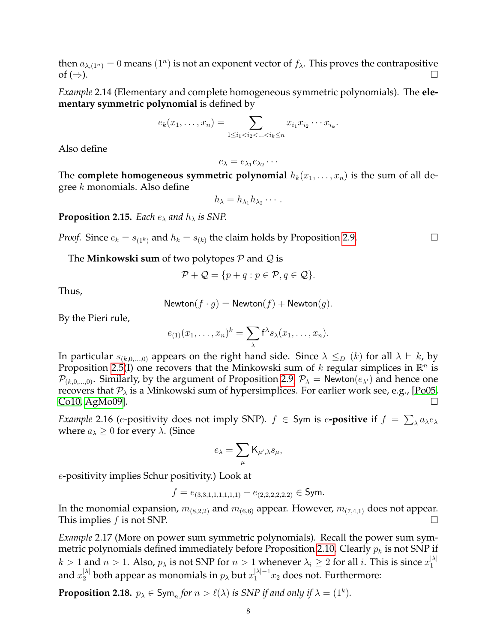then  $a_{\lambda,(1^n)} = 0$  means  $(1^n)$  is not an exponent vector of  $f_{\lambda}$ . This proves the contrapositive  $\mathsf{of} \,(\Rightarrow)$ .

*Example* 2.14 (Elementary and complete homogeneous symmetric polynomials)*.* The **elementary symmetric polynomial** is defined by

$$
e_k(x_1,...,x_n) = \sum_{1 \leq i_1 < i_2 < ... < i_k \leq n} x_{i_1} x_{i_2} \cdots x_{i_k}.
$$

Also define

$$
e_{\lambda}=e_{\lambda_1}e_{\lambda_2}\cdots
$$

The **complete homogeneous symmetric polynomial**  $h_k(x_1, \ldots, x_n)$  is the sum of all degree  $k$  monomials. Also define

$$
h_{\lambda}=h_{\lambda_1}h_{\lambda_2}\cdots.
$$

<span id="page-7-0"></span>**Proposition 2.15.** *Each*  $e_{\lambda}$  *and*  $h_{\lambda}$  *is SNP.* 

*Proof.* Since  $e_k = s_{(1^k)}$  and  $h_k = s_{(k)}$  the claim holds by Proposition [2.9.](#page-5-0)

The **Minkowski sum** of two polytopes P and Q is

$$
\mathcal{P} + \mathcal{Q} = \{ p + q : p \in \mathcal{P}, q \in \mathcal{Q} \}.
$$

Thus,

Newton
$$
(f \cdot g)
$$
 = Newton $(f)$  + Newton $(g)$ .

By the Pieri rule,

$$
e_{(1)}(x_1,\ldots,x_n)^k=\sum_{\lambda}f^{\lambda}s_{\lambda}(x_1,\ldots,x_n).
$$

In particular  $s_{(k,0,...,0)}$  appears on the right hand side. Since  $\lambda \leq_D (k)$  for all  $\lambda \vdash k$ , by Proposition [2.5\(](#page-3-0)I) one recovers that the Minkowski sum of k regular simplices in  $\mathbb{R}^n$  is  $\mathcal{P}_{(k,0,\ldots,0)}$ . Similarly, by the argument of Proposition [2.9,](#page-5-0)  $\mathcal{P}_{\lambda}$  = Newton $(e_{\lambda})$  and hence one recovers that  $P_{\lambda}$  is a Minkowski sum of hypersimplices. For earlier work see, e.g., [\[Po05,](#page-28-6)  $Co10, AgMo09$  $Co10, AgMo09$ .

*Example* 2.16 (e-positivity does not imply SNP).  $f \in$  Sym is e**-positive** if  $f = \sum_{\lambda} a_{\lambda} e_{\lambda}$ where  $a_{\lambda} \geq 0$  for every  $\lambda$ . (Since

$$
e_{\lambda}=\sum_{\mu}\mathsf{K}_{\mu',\lambda}s_{\mu},
$$

e-positivity implies Schur positivity.) Look at

$$
f = e_{(3,3,1,1,1,1,1,1)} + e_{(2,2,2,2,2,2)} \in \mathsf{Sym}.
$$

In the monomial expansion,  $m_{(8,2,2)}$  and  $m_{(6,6)}$  appear. However,  $m_{(7,4,1)}$  does not appear. This implies f is not SNP.  $\Box$ 

*Example* 2.17 (More on power sum symmetric polynomials)*.* Recall the power sum sym-metric polynomials defined immediately before Proposition [2.10.](#page-5-1) Clearly  $p_k$  is not SNP if  $k > 1$  and  $n > 1$ . Also,  $p_{\lambda}$  is not SNP for  $n > 1$  whenever  $\lambda_i \geq 2$  for all i. This is since  $x_1^{|\lambda|}$ 1 and  $x_2^{|\lambda|}$  both appear as monomials in  $p_\lambda$  but  $x_1^{|\lambda|-1}x_2$  does not. Furthermore:

**Proposition 2.18.**  $p_{\lambda} \in \text{Sym}_n$  for  $n > \ell(\lambda)$  is SNP if and only if  $\lambda = (1^k)$ .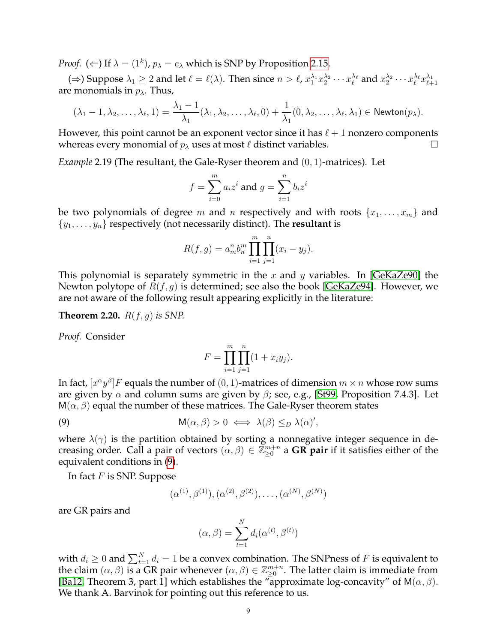*Proof.* ( $\Leftarrow$ ) If  $\lambda = (1^k)$ ,  $p_{\lambda} = e_{\lambda}$  which is SNP by Proposition [2.15.](#page-7-0)

( $\Rightarrow$ ) Suppose  $\lambda_1 \geq 2$  and let  $\ell = \ell(\lambda)$ . Then since  $n > \ell$ ,  $x_1^{\lambda_1} x_2^{\lambda_2} \cdots x_\ell^{\lambda_\ell}$  and  $x_2^{\lambda_2} \cdots x_\ell^{\lambda_\ell} x_{\ell+1}^{\lambda_1}$ are monomials in  $p_{\lambda}$ . Thus,

$$
(\lambda_1-1,\lambda_2,\ldots,\lambda_\ell,1)=\frac{\lambda_1-1}{\lambda_1}(\lambda_1,\lambda_2,\ldots,\lambda_\ell,0)+\frac{1}{\lambda_1}(0,\lambda_2,\ldots,\lambda_\ell,\lambda_1)\in {\sf Newton}(p_\lambda).
$$

However, this point cannot be an exponent vector since it has  $\ell + 1$  nonzero components whereas every monomial of  $p_{\lambda}$  uses at most  $\ell$  distinct variables.

*Example* 2.19 (The resultant, the Gale-Ryser theorem and (0, 1)-matrices)*.* Let

$$
f = \sum_{i=0}^{m} a_i z^i
$$
 and 
$$
g = \sum_{i=1}^{n} b_i z^i
$$

be two polynomials of degree m and n respectively and with roots  $\{x_1, \ldots, x_m\}$  and  $\{y_1, \ldots, y_n\}$  respectively (not necessarily distinct). The **resultant** is

$$
R(f,g) = a_m^n b_n^m \prod_{i=1}^m \prod_{j=1}^n (x_i - y_j).
$$

This polynomial is separately symmetric in the x and y variables. In [\[GeKaZe90\]](#page-28-1) the Newton polytope of  $R(f, g)$  is determined; see also the book [\[GeKaZe94\]](#page-28-7). However, we are not aware of the following result appearing explicitly in the literature:

<span id="page-8-0"></span>**Theorem 2.20.** R(f, g) *is SNP.*

*Proof.* Consider

<span id="page-8-1"></span>
$$
F = \prod_{i=1}^{m} \prod_{j=1}^{n} (1 + x_i y_j).
$$

In fact,  $[x^{\alpha}y^{\beta}]F$  equals the number of  $(0,1)$ -matrices of dimension  $m\times n$  whose row sums are given by  $\alpha$  and column sums are given by  $\beta$ ; see, e.g., [\[St99,](#page-29-1) Proposition 7.4.3]. Let  $M(\alpha, \beta)$  equal the number of these matrices. The Gale-Ryser theorem states

(9) 
$$
M(\alpha, \beta) > 0 \iff \lambda(\beta) \leq_D \lambda(\alpha)',
$$

where  $\lambda(\gamma)$  is the partition obtained by sorting a nonnegative integer sequence in decreasing order. Call a pair of vectors  $(\alpha, \beta) \in \mathbb{Z}_{\geq 0}^{m+n}$  a GR pair if it satisfies either of the equivalent conditions in [\(9\)](#page-8-1).

In fact  $F$  is SNP. Suppose

$$
(\alpha^{(1)}, \beta^{(1)}), (\alpha^{(2)}, \beta^{(2)}), \ldots, (\alpha^{(N)}, \beta^{(N)})
$$

are GR pairs and

$$
(\alpha, \beta) = \sum_{t=1}^{N} d_i(\alpha^{(t)}, \beta^{(t)})
$$

with  $d_i\geq 0$  and  $\sum_{t=1}^N d_i=1$  be a convex combination. The SNPness of  $F$  is equivalent to the claim  $(\alpha, \beta)$  is a GR pair whenever  $(\alpha, \beta) \in \mathbb{Z}_{\geq 0}^{m+n}$ . The latter claim is immediate from [\[Ba12,](#page-27-3) Theorem 3, part 1] which establishes the "approximate log-concavity" of  $M(\alpha, \beta)$ . We thank A. Barvinok for pointing out this reference to us.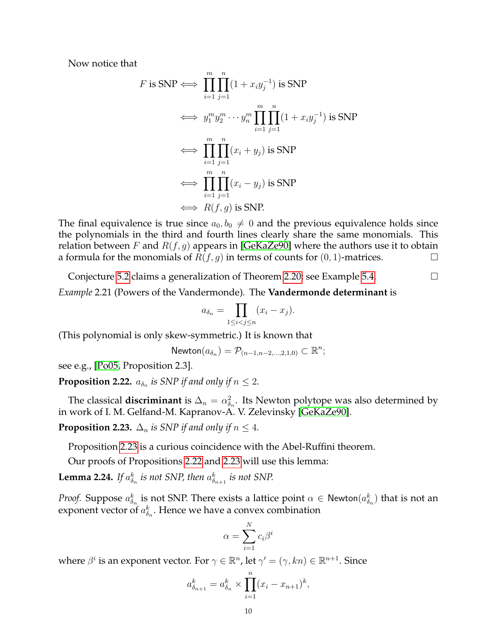Now notice that

$$
F \text{ is SNP} \iff \prod_{i=1}^{m} \prod_{j=1}^{n} (1 + x_i y_j^{-1}) \text{ is SNP}
$$
  
\n
$$
\iff y_1^m y_2^m \cdots y_n^m \prod_{i=1}^{m} \prod_{j=1}^{n} (1 + x_i y_j^{-1}) \text{ is SNP}
$$
  
\n
$$
\iff \prod_{i=1}^{m} \prod_{j=1}^{n} (x_i + y_j) \text{ is SNP}
$$
  
\n
$$
\iff \prod_{i=1}^{m} \prod_{j=1}^{n} (x_i - y_j) \text{ is SNP}
$$
  
\n
$$
\iff R(f, g) \text{ is SNP.}
$$

The final equivalence is true since  $a_0, b_0 \neq 0$  and the previous equivalence holds since the polynomials in the third and fourth lines clearly share the same monomials. This relation between F and  $R(f, g)$  appears in [\[GeKaZe90\]](#page-28-1) where the authors use it to obtain a formula for the monomials of  $R(f, g)$  in terms of counts for  $(0, 1)$ -matrices.

Conjecture [5.2](#page-19-2) claims a generalization of Theorem [2.20;](#page-8-0) see Example [5.4.](#page-20-2)

*Example* 2.21 (Powers of the Vandermonde)*.* The **Vandermonde determinant** is

$$
a_{\delta_n} = \prod_{1 \le i < j \le n} (x_i - x_j).
$$

(This polynomial is only skew-symmetric.) It is known that

$$
\mathsf{Newton}(a_{\delta_n})=\mathcal{P}_{(n-1,n-2,\ldots,2,1,0)}\subset\mathbb{R}^n;
$$

see e.g., [\[Po05,](#page-28-6) Proposition 2.3].

<span id="page-9-1"></span>**Proposition 2.22.**  $a_{\delta_n}$  is SNP if and only if  $n \leq 2$ .

The classical **discriminant** is  $\Delta_n = \alpha_{\delta_n}^2$ . Its Newton polytope was also determined by in work of I. M. Gelfand-M. Kapranov-A. V. Zelevinsky [\[GeKaZe90\]](#page-28-1).

<span id="page-9-0"></span>**Proposition 2.23.**  $\Delta_n$  *is SNP if and only if*  $n \leq 4$ *.* 

Proposition [2.23](#page-9-0) is a curious coincidence with the Abel-Ruffini theorem.

Our proofs of Propositions [2.22](#page-9-1) and [2.23](#page-9-0) will use this lemma:

<span id="page-9-2"></span>**Lemma 2.24.** *If*  $a_{\delta_n}^k$  *is not SNP, then*  $a_{\delta_{n+1}}^k$  *is not SNP.* 

*Proof.* Suppose  $a_{\delta_n}^k$  is not SNP. There exists a lattice point  $\alpha \in \mathsf{Newton}(a_{\delta_n}^k)$  that is not an exponent vector of  $a_{\delta_n}^k$ . Hence we have a convex combination

$$
\alpha = \sum_{i=1}^{N} c_i \beta^i
$$

where  $\beta^i$  is an exponent vector. For  $\gamma \in \mathbb{R}^n$ , let  $\gamma' = (\gamma, kn) \in \mathbb{R}^{n+1}$ . Since

$$
a_{\delta_{n+1}}^k = a_{\delta_n}^k \times \prod_{i=1}^n (x_i - x_{n+1})^k,
$$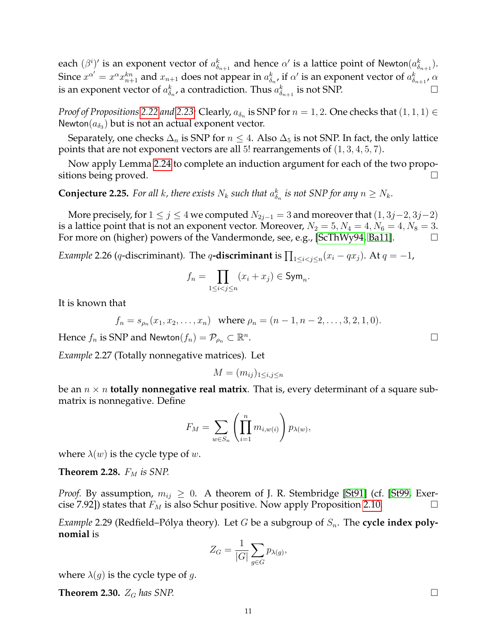each  $(\beta^i)'$  is an exponent vector of  $a_{\delta_{n+1}}^k$  and hence  $\alpha'$  is a lattice point of Newton $(a_{\delta_{n+1}}^k).$ Since  $x^{\alpha'}=x^\alpha x_{n+1}^{kn}$  and  $x_{n+1}$  does not appear in  $a_{\delta_n}^k$ , if  $\alpha'$  is an exponent vector of  $a_{\delta_{n+1}}^k$ ,  $\alpha$ is an exponent vector of  $a_{\delta_n}^k$ , a contradiction. Thus  $a_{\delta_{n+1}}^k$  is not SNP.

*Proof of Propositions* [2.22](#page-9-1) *and* [2.23:](#page-9-0) Clearly,  $a_{\delta_n}$  is SNP for  $n = 1, 2$ . One checks that  $(1, 1, 1) \in$ Newton $(a_{\delta_3})$  but is not an actual exponent vector.

Separately, one checks  $\Delta_n$  is SNP for  $n \leq 4$ . Also  $\Delta_5$  is not SNP. In fact, the only lattice points that are not exponent vectors are all 5! rearrangements of  $(1, 3, 4, 5, 7)$ .

Now apply Lemma [2.24](#page-9-2) to complete an induction argument for each of the two propositions being proved.

**Conjecture 2.25.** For all k, there exists  $N_k$  such that  $a_{\delta_n}^k$  is not SNP for any  $n \geq N_k$ .

More precisely, for  $1 \le j \le 4$  we computed  $N_{2j-1} = 3$  and moreover that  $(1, 3j-2, 3j-2)$ is a lattice point that is not an exponent vector. Moreover,  $N_2 = 5, N_4 = 4, N_6 = 4, N_8 = 3$ . For more on (higher) powers of the Vandermonde, see, e.g., [\[ScThWy94,](#page-28-8) [Ba11\]](#page-27-4).

*Example* 2.26 (q-discriminant). The q**-discriminant** is  $\prod_{1\leq i < j \leq n} (x_i-qx_j)$ . At  $q=-1$ ,

$$
f_n = \prod_{1 \le i < j \le n} (x_i + x_j) \in \text{Sym}_n.
$$

It is known that

$$
f_n = s_{\rho_n}(x_1, x_2, \dots, x_n)
$$
 where  $\rho_n = (n - 1, n - 2, \dots, 3, 2, 1, 0).$ 

Hence  $f_n$  is SNP and Newton $(f_n) = \mathcal{P}_{\rho_n} \subset \mathbb{R}^n$ 

*Example* 2.27 (Totally nonnegative matrices)*.* Let

$$
M = (m_{ij})_{1 \le i,j \le n}
$$

be an  $n \times n$  **totally nonnegative real matrix**. That is, every determinant of a square submatrix is nonnegative. Define

$$
F_M = \sum_{w \in S_n} \left( \prod_{i=1}^n m_{i,w(i)} \right) p_{\lambda(w)},
$$

where  $\lambda(w)$  is the cycle type of w.

<span id="page-10-1"></span>**Theorem 2.28.**  $F_M$  is SNP.

*Proof.* By assumption,  $m_{ij} \geq 0$ . A theorem of J. R. Stembridge [\[St91\]](#page-29-0) (cf. [\[St99,](#page-29-1) Exercise 7.92]) states that  $F_M$  is also Schur positive. Now apply Proposition [2.10.](#page-5-1)

*Example* 2.29 (Redfield–Pólya theory). Let *G* be a subgroup of  $S_n$ . The cycle index poly**nomial** is

$$
Z_G = \frac{1}{|G|} \sum_{g \in G} p_{\lambda(g)},
$$

where  $\lambda(g)$  is the cycle type of g.

<span id="page-10-0"></span>**Theorem 2.30.**  $Z_G$  has SNP.  $\Box$ 

. В последните поставите на селото на селото на селото на селото на селото на селото на селото на селото на се<br>Селото на селото на селото на селото на селото на селото на селото на селото на селото на селото на селото на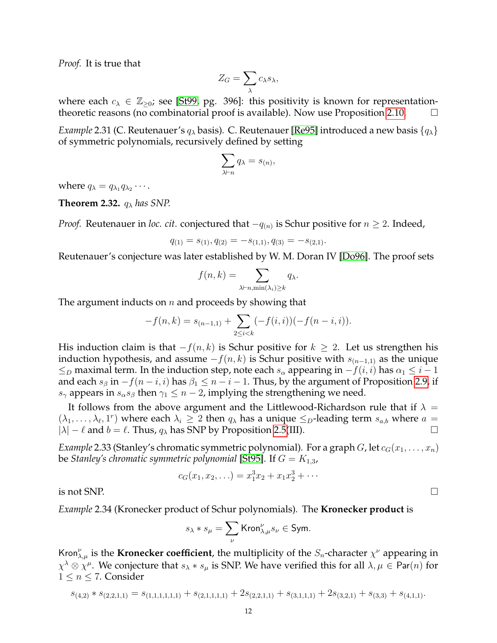*Proof.* It is true that

$$
Z_G = \sum_{\lambda} c_{\lambda} s_{\lambda},
$$

where each  $c_{\lambda} \in \mathbb{Z}_{\geq 0}$ ; see [\[St99,](#page-29-1) pg. 396]: this positivity is known for representation-theoretic reasons (no combinatorial proof is available). Now use Proposition [2.10.](#page-5-1)  $\Box$ 

*Example* 2.31 (C. Reutenauer's  $q_{\lambda}$  basis). C. Reutenauer [\[Re95\]](#page-28-2) introduced a new basis  $\{q_{\lambda}\}\$ of symmetric polynomials, recursively defined by setting

$$
\sum_{\lambda \vdash n} q_{\lambda} = s_{(n)},
$$

where  $q_{\lambda} = q_{\lambda_1} q_{\lambda_2} \cdots$ .

<span id="page-11-0"></span>**Theorem 2.32.**  $q_{\lambda}$  *has SNP.* 

*Proof.* Reutenauer in *loc. cit.* conjectured that  $-q_{(n)}$  is Schur positive for  $n \geq 2$ . Indeed,

$$
q_{(1)} = s_{(1)}, q_{(2)} = -s_{(1,1)}, q_{(3)} = -s_{(2,1)}.
$$

Reutenauer's conjecture was later established by W. M. Doran IV [\[Do96\]](#page-27-5). The proof sets

$$
f(n,k) = \sum_{\lambda \vdash n, \min(\lambda_i) \ge k} q_\lambda.
$$

The argument inducts on  $n$  and proceeds by showing that

$$
-f(n,k) = s_{(n-1,1)} + \sum_{2 \le i < k} (-f(i,i)) (-f(n-i,i)).
$$

His induction claim is that  $-f(n, k)$  is Schur positive for  $k \geq 2$ . Let us strengthen his induction hypothesis, and assume  $-f(n, k)$  is Schur positive with  $s_{(n-1,1)}$  as the unique  $\leq_D$  maximal term. In the induction step, note each  $s_\alpha$  appearing in  $-f(i, i)$  has  $\alpha_1 \leq i-1$ and each  $s_\beta$  in  $-f(n-i, i)$  has  $\beta_1 \leq n-i-1$ . Thus, by the argument of Proposition [2.9,](#page-5-0) if  $s_{\gamma}$  appears in  $s_{\alpha}s_{\beta}$  then  $\gamma_1 \leq n-2$ , implying the strengthening we need.

It follows from the above argument and the Littlewood-Richardson rule that if  $\lambda =$  $(\lambda_1, \ldots, \lambda_\ell, 1^r)$  where each  $\lambda_i \geq 2$  then  $q_\lambda$  has a unique  $\leq_D$ -leading term  $s_{a,b}$  where  $a =$  $|\lambda| - \ell$  and  $b = \ell$ . Thus,  $q_{\lambda}$  has SNP by Proposition [2.5\(](#page-3-0)III).

*Example* 2.33 (Stanley's chromatic symmetric polynomial). For a graph G, let  $c_G(x_1, \ldots, x_n)$ be *Stanley's chromatic symmetric polynomial* [\[St95\]](#page-28-9). If  $G = K_{1,3}$ ,

$$
c_G(x_1, x_2, \ldots) = x_1^3 x_2 + x_1 x_2^3 + \cdots
$$

is not SNP.  $\Box$ 

<span id="page-11-1"></span>*Example* 2.34 (Kronecker product of Schur polynomials)*.* The **Kronecker product** is

$$
s_{\lambda} * s_{\mu} = \sum_{\nu} \text{Kron}_{\lambda,\mu}^{\nu} s_{\nu} \in \text{Sym}.
$$

Kron $\chi^{\nu}_{\lambda,\mu}$  is the **Kronecker coefficient**, the multiplicity of the  $S_n$ -character  $\chi^{\nu}$  appearing in  $\chi^\lambda\otimes\chi^\mu$ . We conjecture that  $s_\lambda*s_\mu$  is SNP. We have verified this for all  $\lambda,\mu\in$  Par $(n)$  for  $1 \leq n \leq 7$ . Consider

$$
s_{(4,2)} * s_{(2,2,1,1)} = s_{(1,1,1,1,1,1)} + s_{(2,1,1,1,1)} + 2s_{(2,2,1,1)} + s_{(3,1,1,1)} + 2s_{(3,2,1)} + s_{(3,3)} + s_{(4,1,1)}.
$$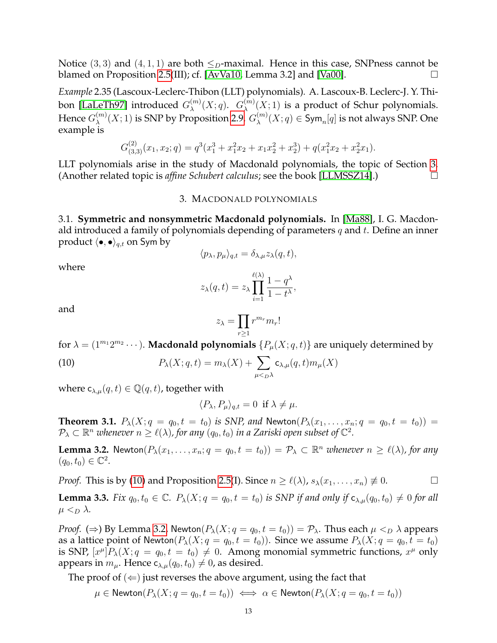Notice (3, 3) and (4, 1, 1) are both  $\leq_D$ -maximal. Hence in this case, SNPness cannot be blamed on Proposition [2.5\(](#page-3-0)III); cf. [\[AvVa10,](#page-27-6) Lemma 3.2] and [\[Va00\]](#page-29-2).  $\Box$ 

*Example* 2.35 (Lascoux-Leclerc-Thibon (LLT) polynomials)*.* A. Lascoux-B. Leclerc-J. Y. Thi-bon [\[LaLeTh97\]](#page-28-10) introduced  $G_\lambda^{(m)}$  $\chi^{(m)}(X;q)$ .  $G_{\lambda}^{(m)}$  $\chi^{(m)}(X;1)$  is a product of Schur polynomials. Hence  $G_\lambda^{(m)}$  $\chi_\lambda^{(m)}(X;1)$  is SNP by Proposition [2.9.](#page-5-0)  $G_\lambda^{(m)}$  $\chi^{(m)}(X;q)\in \operatorname{\mathsf{Sym}}_n[q]$  is not always SNP. One example is

$$
G_{(3,3)}^{(2)}(x_1, x_2; q) = q^3(x_1^3 + x_1^2x_2 + x_1x_2^2 + x_2^3) + q(x_1^2x_2 + x_2^2x_1).
$$

LLT polynomials arise in the study of Macdonald polynomials, the topic of Section [3.](#page-12-1) (Another related topic is *affine Schubert calculus*; see the book [\[LLMSSZ14\]](#page-28-11).)

#### 3. MACDONALD POLYNOMIALS

<span id="page-12-1"></span>3.1. **Symmetric and nonsymmetric Macdonald polynomials.** In [\[Ma88\]](#page-28-12), I. G. Macdonald introduced a family of polynomials depending of parameters  $q$  and  $t$ . Define an inner product  $\langle \bullet, \bullet \rangle_{q,t}$  on Sym by

$$
\langle p_{\lambda}, p_{\mu} \rangle_{q,t} = \delta_{\lambda,\mu} z_{\lambda}(q,t),
$$

where

$$
z_{\lambda}(q,t) = z_{\lambda} \prod_{i=1}^{\ell(\lambda)} \frac{1-q^{\lambda}}{1-t^{\lambda}},
$$

and

$$
z_\lambda = \prod_{r\geq 1} r^{m_r} m_r!
$$

for  $\lambda = (1^{m_1}2^{m_2}\cdots)$ . **Macdonald polynomials**  $\{P_\mu(X; q, t)\}$  are uniquely determined by

(10) 
$$
P_{\lambda}(X;q,t) = m_{\lambda}(X) + \sum_{\mu < p\lambda} c_{\lambda,\mu}(q,t)m_{\mu}(X)
$$

where  $c_{\lambda,\mu}(q,t) \in \mathbb{Q}(q,t)$ , together with

<span id="page-12-2"></span>
$$
\langle P_{\lambda}, P_{\mu} \rangle_{q,t} = 0 \text{ if } \lambda \neq \mu.
$$

<span id="page-12-0"></span>**Theorem 3.1.**  $P_{\lambda}(X; q = q_0, t = t_0)$  *is SNP, and* Newton $(P_{\lambda}(x_1, \ldots, x_n; q = q_0, t = t_0))$  =  $\mathcal{P}_\lambda\subset\mathbb{R}^n$  whenever  $n\geq \ell(\lambda)$ , for any  $(q_0,t_0)$  in a Zariski open subset of  $\mathbb{C}^2.$ 

<span id="page-12-3"></span>**Lemma 3.2.** Newton $(P_\lambda(x_1,\ldots,x_n;q=q_0,t=t_0)) = P_\lambda \subset \mathbb{R}^n$  whenever  $n \geq \ell(\lambda)$ , for any  $(q_0, t_0) \in \mathbb{C}^2$ .

*Proof.* This is by [\(10\)](#page-12-2) and Proposition [2.5\(](#page-3-0)I). Since  $n \ge \ell(\lambda)$ ,  $s_\lambda(x_1, \ldots, x_n) \neq 0$ .

<span id="page-12-4"></span>**Lemma 3.3.** *Fix*  $q_0, t_0 \in \mathbb{C}$ *.*  $P_\lambda(X; q = q_0, t = t_0)$  *is SNP if and only if*  $c_{\lambda,\mu}(q_0, t_0) \neq 0$  *for all*  $\mu <_{D} \lambda$ .

*Proof.* ( $\Rightarrow$ ) By Lemma [3.2,](#page-12-3) Newton $(P_{\lambda}(X; q = q_0, t = t_0)) = P_{\lambda}$ . Thus each  $\mu <_{D} \lambda$  appears as a lattice point of Newton $(P_\lambda(X; q = q_0, t = t_0))$ . Since we assume  $P_\lambda(X; q = q_0, t = t_0)$ is SNP,  $[x^{\mu}]P_{\lambda}(X; q = q_0, t = t_0) \neq 0$ . Among monomial symmetric functions,  $x^{\mu}$  only appears in  $m_{\mu}$ . Hence  $c_{\lambda,\mu}(q_0, t_0) \neq 0$ , as desired.

The proof of  $(\Leftarrow)$  just reverses the above argument, using the fact that

$$
\mu \in \mathsf{Newton}(P_{\lambda}(X; q = q_0, t = t_0)) \iff \alpha \in \mathsf{Newton}(P_{\lambda}(X; q = q_0, t = t_0))
$$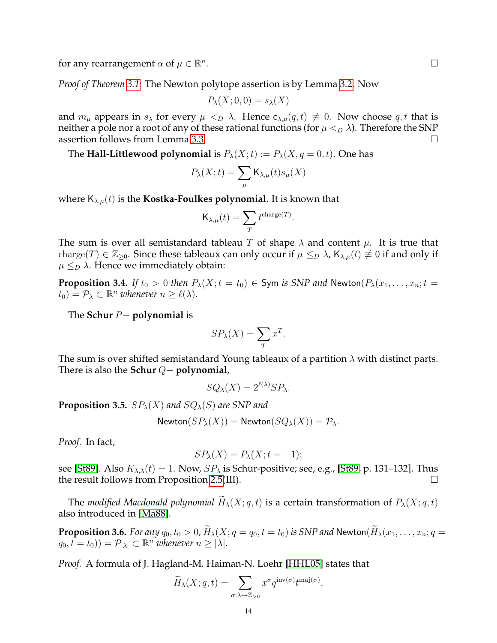for any rearrangement  $\alpha$  of  $\mu \in \mathbb{R}^n$ 

*Proof of Theorem [3.1:](#page-12-0)* The Newton polytope assertion is by Lemma [3.2.](#page-12-3) Now

$$
P_{\lambda}(X;0,0) = s_{\lambda}(X)
$$

and  $m_{\mu}$  appears in  $s_{\lambda}$  for every  $\mu <_{D} \lambda$ . Hence  $c_{\lambda,\mu}(q,t) \neq 0$ . Now choose q, t that is neither a pole nor a root of any of these rational functions (for  $\mu <_{D} \lambda$ ). Therefore the SNP assertion follows from Lemma [3.3.](#page-12-4)

The **Hall-Littlewood polynomial** is  $P_{\lambda}(X;t) := P_{\lambda}(X,q=0,t)$ . One has

$$
P_{\lambda}(X;t) = \sum_{\mu} \mathsf{K}_{\lambda,\mu}(t) s_{\mu}(X)
$$

where  $K_{\lambda,\mu}(t)$  is the **Kostka-Foulkes polynomial**. It is known that

$$
\mathsf{K}_{\lambda,\mu}(t)=\sum_{T}t^{\text{charge}(T)}.
$$

The sum is over all semistandard tableau T of shape  $\lambda$  and content  $\mu$ . It is true that charge(T)  $\in \mathbb{Z}_{\geq 0}$ . Since these tableaux can only occur if  $\mu \leq_D \lambda$ ,  $\mathsf{K}_{\lambda,\mu}(t) \not\equiv 0$  if and only if  $\mu \leq_D \lambda$ . Hence we immediately obtain:

**Proposition 3.4.** *If*  $t_0 > 0$  *then*  $P_\lambda(X;t = t_0) \in$  Sym *is SNP and* Newton $(P_\lambda(x_1, \ldots, x_n; t =$  $(t_0) = \mathcal{P}_\lambda \subset \mathbb{R}^n$  whenever  $n \geq \ell(\lambda)$ .

The **Schur** P− **polynomial** is

$$
SP_{\lambda}(X) = \sum_{T} x^{T}.
$$

The sum is over shifted semistandard Young tableaux of a partition  $\lambda$  with distinct parts. There is also the **Schur** Q− **polynomial**,

$$
SQ_{\lambda}(X) = 2^{\ell(\lambda)} SP_{\lambda}.
$$

**Proposition 3.5.**  $SP_{\lambda}(X)$  and  $SQ_{\lambda}(S)$  are SNP and

$$
\mathsf{Newton}(SP_{\lambda}(X)) = \mathsf{Newton}(SQ_{\lambda}(X)) = \mathcal{P}_{\lambda}.
$$

*Proof.* In fact,

$$
SP_{\lambda}(X) = P_{\lambda}(X; t = -1);
$$

see [\[St89\]](#page-29-3). Also  $K_{\lambda,\lambda}(t) = 1$ . Now,  $SP_{\lambda}$  is Schur-positive; see, e.g., [\[St89,](#page-29-3) p. 131–132]. Thus the result follows from Proposition [2.5\(](#page-3-0)III).

The *modified Macdonald polynomial*  $\widetilde{H}_{\lambda}(X; q, t)$  is a certain transformation of  $P_{\lambda}(X; q, t)$ also introduced in [\[Ma88\]](#page-28-12).

<span id="page-13-0"></span>**Proposition 3.6.** *For any*  $q_0, t_0 > 0$ ,  $\widetilde{H}_\lambda(X; q = q_0, t = t_0)$  *is SNP and* Newton $(\widetilde{H}_\lambda(x_1, \ldots, x_n; q =$  $(q_0, t = t_0)$ ) =  $\mathcal{P}_{|\lambda|} \subset \mathbb{R}^n$  whenever  $n \geq |\lambda|$ .

*Proof.* A formula of J. Hagland-M. Haiman-N. Loehr [\[HHL05\]](#page-28-13) states that

$$
\widetilde{H}_{\lambda}(X;q,t) = \sum_{\sigma:\lambda \to \mathbb{Z}_{>0}} x^{\sigma} q^{\mathrm{inv}(\sigma)} t^{\mathrm{maj}(\sigma)},
$$

. В последните последните последните последните последните последните последните последните последните последн<br>В последните последните последните последните последните последните последните последните последните последнит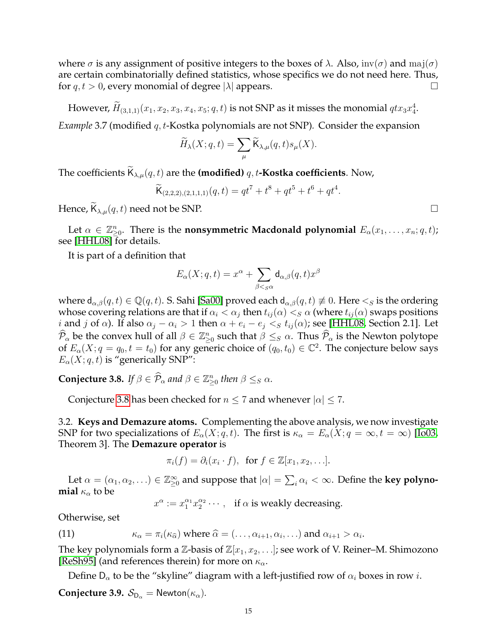where  $\sigma$  is any assignment of positive integers to the boxes of  $\lambda$ . Also,  $inv(\sigma)$  and  $maj(\sigma)$ are certain combinatorially defined statistics, whose specifics we do not need here. Thus, for  $q, t > 0$ , every monomial of degree  $|\lambda|$  appears.

However,  $\widetilde{H}_{(3,1,1)}(x_1,x_2,x_3,x_4,x_5;q,t)$  is not SNP as it misses the monomial  $qtx_3x_4^4$ .

*Example* 3.7 (modified q, t-Kostka polynomials are not SNP)*.* Consider the expansion

$$
\widetilde{H}_{\lambda}(X;q,t) = \sum_{\mu} \widetilde{\mathsf{K}}_{\lambda,\mu}(q,t) s_{\mu}(X).
$$

The coefficients  $\mathsf{K}_{\lambda,\mu}(q,t)$  are the **(modified)** q, t-**Kostka coefficients**. Now,

$$
\widetilde{\mathsf{K}}_{(2,2,2),(2,1,1,1)}(q,t) = qt^7 + t^8 + qt^5 + t^6 + qt^4.
$$

Hence,  $\widetilde{\mathsf{K}}_{\lambda,\mu}(q,t)$  need not be SNP.

Let  $\alpha \in \mathbb{Z}_{\geq 0}^n$ . There is the **nonsymmetric Macdonald polynomial**  $E_\alpha(x_1, \ldots, x_n; q, t)$ ; see [\[HHL08\]](#page-28-14) for details.

It is part of a definition that

$$
E_{\alpha}(X;q,t) = x^{\alpha} + \sum_{\beta <_{S} \alpha} \mathsf{d}_{\alpha,\beta}(q,t) x^{\beta}
$$

where  $d_{\alpha,\beta}(q,t) \in \mathbb{Q}(q,t)$ . S. Sahi [\[Sa00\]](#page-28-15) proved each  $d_{\alpha,\beta}(q,t) \not\equiv 0$ . Here  $\lt_S$  is the ordering whose covering relations are that if  $\alpha_i < \alpha_j$  then  $t_{ij}(\alpha) < s$   $\alpha$  (where  $t_{ij}(\alpha)$  swaps positions *i* and *j* of  $\alpha$ ). If also  $\alpha_j - \alpha_i > 1$  then  $\alpha + e_i - e_j < s$   $t_{ij}(\alpha)$ ; see [\[HHL08,](#page-28-14) Section 2.1]. Let  $\widehat{\mathcal{P}}_{\alpha}$  be the convex hull of all  $\beta \in \mathbb{Z}_{\geq 0}^n$  such that  $\beta \leq_S \alpha$ . Thus  $\widehat{\mathcal{P}}_{\alpha}$  is the Newton polytope of  $E_\alpha(X; q = q_0, t = t_0)$  for any generic choice of  $(q_0, t_0) \in \mathbb{C}^2$ . The conjecture below says  $E_{\alpha}(X; q, t)$  is "generically SNP":

<span id="page-14-0"></span>**Conjecture 3.8.** *If*  $\beta \in \widehat{P}_{\alpha}$  and  $\beta \in \mathbb{Z}_{\geq 0}^n$  then  $\beta \leq_S \alpha$ .

Conjecture [3.8](#page-14-0) has been checked for  $n \leq 7$  and whenever  $|\alpha| \leq 7$ .

<span id="page-14-3"></span>3.2. **Keys and Demazure atoms.** Complementing the above analysis, we now investigate SNP for two specializations of  $E_{\alpha}(X; q, t)$ . The first is  $\kappa_{\alpha} = E_{\alpha}(X; q = \infty, t = \infty)$  [\[Io03,](#page-28-16) Theorem 3]. The **Demazure operator** is

$$
\pi_i(f) = \partial_i(x_i \cdot f), \text{ for } f \in \mathbb{Z}[x_1, x_2, \ldots].
$$

Let  $\alpha = (\alpha_1, \alpha_2, \ldots) \in \mathbb{Z}_{\geq 0}^{\infty}$  and suppose that  $|\alpha| = \sum_i \alpha_i < \infty$ . Define the **key polynomial**  $\kappa_{\alpha}$  to be

<span id="page-14-2"></span> $x^{\alpha} := x_1^{\alpha_1} x_2^{\alpha_2} \cdots$ , if  $\alpha$  is weakly decreasing.

Otherwise, set

(11) 
$$
\kappa_{\alpha} = \pi_i(\kappa_{\widehat{\alpha}}) \text{ where } \widehat{\alpha} = (\dots, \alpha_{i+1}, \alpha_i, \dots) \text{ and } \alpha_{i+1} > \alpha_i
$$

The key polynomials form a  $\mathbb{Z}$ -basis of  $\mathbb{Z}[x_1, x_2, \ldots]$ ; see work of V. Reiner–M. Shimozono [\[ReSh95\]](#page-28-17) (and references therein) for more on  $\kappa_{\alpha}$ .

.

Define  $D_{\alpha}$  to be the "skyline" diagram with a left-justified row of  $\alpha_i$  boxes in row *i*.

<span id="page-14-1"></span>**Conjecture 3.9.**  $S_{D_{\alpha}} = \text{Newton}(\kappa_{\alpha})$ .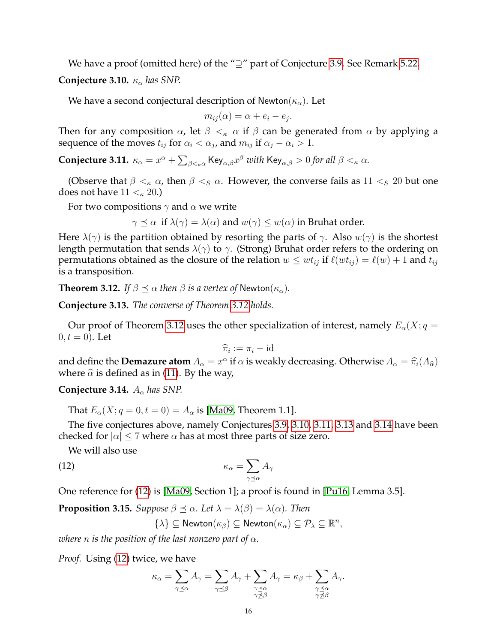We have a proof (omitted here) of the "⊇" part of Conjecture [3.9.](#page-14-1) See Remark [5.22.](#page-26-2)

<span id="page-15-2"></span>**Conjecture 3.10.**  $\kappa_{\alpha}$  has SNP.

We have a second conjectural description of Newton( $\kappa_{\alpha}$ ). Let

$$
m_{ij}(\alpha) = \alpha + e_i - e_j.
$$

Then for any composition  $\alpha$ , let  $\beta <_{\kappa} \alpha$  if  $\beta$  can be generated from  $\alpha$  by applying a sequence of the moves  $t_{ij}$  for  $\alpha_i < \alpha_j$ , and  $m_{ij}$  if  $\alpha_j - \alpha_i > 1$ .

<span id="page-15-3"></span> $\bf{Conjecture~3.11.}$   $\kappa_\alpha=x^\alpha+\sum_{\beta<_\kappa\alpha}\mathsf{Key}_{\alpha,\beta}x^\beta$  with  $\mathsf{Key}_{\alpha,\beta}>0$  for all  $\beta<_\kappa\alpha$ .

(Observe that  $\beta <_{\kappa} \alpha$ , then  $\beta <_{S} \alpha$ . However, the converse fails as  $11 <_{S} 20$  but one does not have  $11 <_{\kappa} 20$ .)

For two compositions  $\gamma$  and  $\alpha$  we write

 $\gamma \preceq \alpha$  if  $\lambda(\gamma) = \lambda(\alpha)$  and  $w(\gamma) \leq w(\alpha)$  in Bruhat order.

Here  $\lambda(\gamma)$  is the partition obtained by resorting the parts of  $\gamma$ . Also  $w(\gamma)$  is the shortest length permutation that sends  $\lambda(\gamma)$  to  $\gamma$ . (Strong) Bruhat order refers to the ordering on permutations obtained as the closure of the relation  $w \leq wt_{ij}$  if  $\ell(wt_{ij}) = \ell(w) + 1$  and  $t_{ij}$ is a transposition.

<span id="page-15-0"></span>**Theorem 3.12.** *If*  $\beta \preceq \alpha$  *then*  $\beta$  *is a vertex of* Newton( $\kappa_{\alpha}$ )*.* 

<span id="page-15-1"></span>**Conjecture 3.13.** *The converse of Theorem [3.12](#page-15-0) holds.*

Our proof of Theorem [3.12](#page-15-0) uses the other specialization of interest, namely  $E_{\alpha}(X; q =$  $0, t = 0$ ). Let

$$
\widehat{\pi}_i := \pi_i - \text{id}
$$

and define the **Demazure atom**  $A_{\alpha} = x^{\alpha}$  if  $\alpha$  is weakly decreasing. Otherwise  $A_{\alpha} = \hat{\pi}_i(A_{\hat{\alpha}})$ <br>where  $\hat{\alpha}$  is defined as in (11). By the way where  $\hat{\alpha}$  is defined as in [\(11\)](#page-14-2). By the way,

<span id="page-15-4"></span>**Conjecture 3.14.**  $A_{\alpha}$  has SNP.

That  $E_{\alpha}(X; q = 0, t = 0) = A_{\alpha}$  is [\[Ma09,](#page-28-18) Theorem 1.1].

The five conjectures above, namely Conjectures [3.9,](#page-14-1) [3.10,](#page-15-2) [3.11,](#page-15-3) [3.13](#page-15-1) and [3.14](#page-15-4) have been checked for  $|\alpha| \leq 7$  where  $\alpha$  has at most three parts of size zero.

We will also use

$$
\kappa_{\alpha} = \sum_{\gamma \preceq \alpha} A_{\gamma}
$$

One reference for [\(12\)](#page-15-5) is [\[Ma09,](#page-28-18) Section 1]; a proof is found in [\[Pu16,](#page-28-19) Lemma 3.5].

<span id="page-15-6"></span>**Proposition 3.15.** *Suppose*  $\beta \preceq \alpha$ *. Let*  $\lambda = \lambda(\beta) = \lambda(\alpha)$ *. Then* 

<span id="page-15-5"></span>
$$
\{\lambda\} \subseteq \mathsf{Newton}(\kappa_\beta) \subseteq \mathsf{Newton}(\kappa_\alpha) \subseteq \mathcal{P}_\lambda \subseteq \mathbb{R}^n,
$$

*where n is the position of the last nonzero part of*  $\alpha$ *.* 

*Proof.* Using [\(12\)](#page-15-5) twice, we have

$$
\kappa_\alpha = \sum_{\gamma \preceq \alpha} A_\gamma = \sum_{\gamma \preceq \beta} A_\gamma + \sum_{\substack{\gamma \preceq \alpha \\ \gamma \npreceq \beta}} A_\gamma = \kappa_\beta + \sum_{\substack{\gamma \preceq \alpha \\ \gamma \npreceq \beta}} A_\gamma.
$$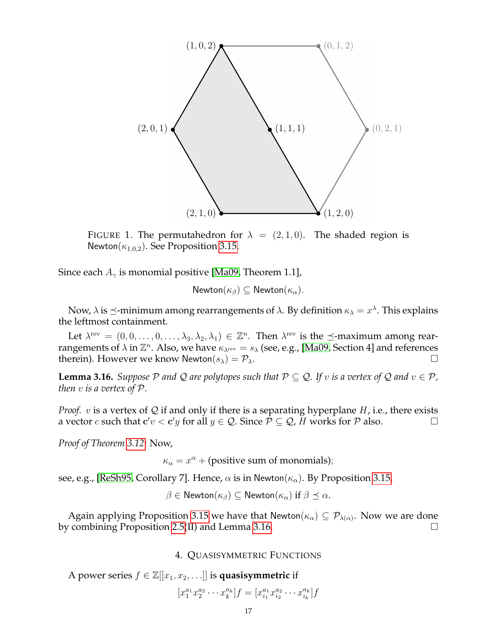

FIGURE 1. The permutahedron for  $\lambda = (2, 1, 0)$ . The shaded region is Newton( $\kappa_{1,0,2}$ ). See Proposition [3.15.](#page-15-6)

Since each  $A_{\gamma}$  is monomial positive [\[Ma09,](#page-28-18) Theorem 1.1],

Newton $(\kappa_{\beta}) \subseteq$  Newton $(\kappa_{\alpha})$ .

Now,  $\lambda$  is  $\preceq$ -minimum among rearrangements of  $\lambda$ . By definition  $\kappa_\lambda = x^\lambda$ . This explains the leftmost containment.

Let  $\lambda^{\text{rev}} = (0,0,\ldots,0,\ldots,\lambda_3,\lambda_2,\lambda_1) \in \mathbb{Z}^n$ . Then  $\lambda^{\text{rev}}$  is the  $\preceq$ -maximum among rearrangements of  $\lambda$  in  $\mathbb{Z}^n$ . Also, we have  $\kappa_{\lambda^{\text{rev}}} = s_\lambda$  (see, e.g., [\[Ma09,](#page-28-18) Section 4] and references therein). However we know Newton $(s_{\lambda}) = \mathcal{P}_{\lambda}$ .

<span id="page-16-1"></span>**Lemma 3.16.** *Suppose*  $P$  *and*  $Q$  *are polytopes such that*  $P \subseteq Q$ *. If v is a vertex of*  $Q$  *and*  $v \in P$ *, then* v *is a vertex of* P*.*

*Proof.*  $v$  is a vertex of  $Q$  if and only if there is a separating hyperplane  $H$ , i.e., there exists a vector c such that  $c'v < c'y$  for all  $y \in \mathcal{Q}$ . Since  $\mathcal{P} \subseteq \mathcal{Q}$ ,  $\breve{H}$  works for  $\mathcal{P}$  also.

*Proof of Theorem [3.12:](#page-15-0)* Now,

 $\kappa_{\alpha} = x^{\alpha} + \text{(positive sum of monomials)};$ 

see, e.g., [\[ReSh95,](#page-28-17) Corollary 7]. Hence,  $\alpha$  is in Newton( $\kappa_{\alpha}$ ). By Proposition [3.15,](#page-15-6)

$$
\beta \in \mathsf{Newton}(\kappa_{\beta}) \subseteq \mathsf{Newton}(\kappa_{\alpha}) \text{ if } \beta \preceq \alpha.
$$

Again applying Proposition [3.15](#page-15-6) we have that Newton $(\kappa_{\alpha}) \subseteq \mathcal{P}_{\lambda(\alpha)}$ . Now we are done by combining Proposition [2.5\(](#page-3-0)II) and Lemma [3.16.](#page-16-1)

## 4. QUASISYMMETRIC FUNCTIONS

<span id="page-16-0"></span>A power series  $f \in \mathbb{Z}[[x_1, x_2, \ldots]]$  is quasisymmetric if

$$
[x_1^{a_1} x_2^{a_2} \cdots x_k^{a_k}]f = [x_{i_1}^{a_1} x_{i_2}^{a_2} \cdots x_{i_k}^{a_k}]f
$$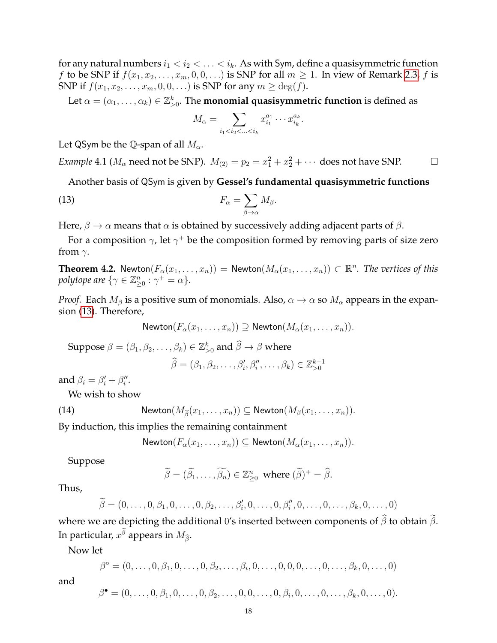for any natural numbers  $i_1 < i_2 < \ldots < i_k$ . As with Sym, define a quasisymmetric function f to be SNP if  $f(x_1, x_2, \ldots, x_m, 0, 0, \ldots)$  is SNP for all  $m \geq 1$ . In view of Remark [2.3,](#page-3-3) f is SNP if  $f(x_1, x_2, \ldots, x_m, 0, 0, \ldots)$  is SNP for any  $m \ge \deg(f)$ .

Let  $\alpha=(\alpha_1,\ldots,\alpha_k)\in\mathbb{Z}_{>0}^k.$  The **monomial quasisymmetric function** is defined as

<span id="page-17-0"></span>
$$
M_{\alpha} = \sum_{i_1 < i_2 < \ldots < i_k} x_{i_1}^{a_1} \cdots x_{i_k}^{a_k}.
$$

Let QSym be the Q-span of all  $M_{\alpha}$ .

*Example* 4.1 ( $M_{\alpha}$  need not be SNP).  $M_{(2)} = p_2 = x_1^2 + x_2^2 + \cdots$  does not have SNP.

Another basis of QSym is given by **Gessel's fundamental quasisymmetric functions**

(13) 
$$
F_{\alpha} = \sum_{\beta \to \alpha} M_{\beta}.
$$

Here,  $\beta \to \alpha$  means that  $\alpha$  is obtained by successively adding adjacent parts of  $\beta$ .

For a composition  $\gamma$ , let  $\gamma^+$  be the composition formed by removing parts of size zero from  $\gamma$ .

**Theorem 4.2.** Newton $(F_\alpha(x_1, \ldots, x_n)) =$  Newton $(M_\alpha(x_1, \ldots, x_n)) \subset \mathbb{R}^n$ . The vertices of this *polytope are*  $\{ \gamma \in \mathbb{Z}_{\geq 0}^n : \gamma^+ = \alpha \}.$ 

*Proof.* Each  $M_\beta$  is a positive sum of monomials. Also,  $\alpha \to \alpha$  so  $M_\alpha$  appears in the expansion [\(13\)](#page-17-0). Therefore,

Newton
$$
(F_{\alpha}(x_1,\ldots,x_n)) \supseteq
$$
 Newton $(M_{\alpha}(x_1,\ldots,x_n))$ .

Suppose  $\beta = (\beta_1, \beta_2, \dots, \beta_k) \in \mathbb{Z}_{>0}^k$  and  $\widehat{\beta} \to \beta$  where  $\widehat{\beta} = (\beta_1, \beta_2, \dots, \beta'_i, \beta''_i, \dots, \beta_k) \in \mathbb{Z}_{>0}^{k+1}$ 

and  $\beta_i = \beta'_i + \beta''_i$ .

We wish to show

(14) Newton
$$
(M_{\widehat{\beta}}(x_1,\ldots,x_n)) \subseteq \text{Newton}(M_{\beta}(x_1,\ldots,x_n)).
$$

By induction, this implies the remaining containment

<span id="page-17-1"></span>
$$
\mathsf{Newton}(F_\alpha(x_1,\ldots,x_n)) \subseteq \mathsf{Newton}(M_\alpha(x_1,\ldots,x_n)).
$$

Suppose

$$
\widetilde{\beta} = (\widetilde{\beta}_1, ..., \widetilde{\beta}_n) \in \mathbb{Z}_{\geq 0}^n
$$
 where  $(\widetilde{\beta})^+ = \widehat{\beta}$ .

Thus,

and

$$
\widetilde{\beta} = (0, \ldots, 0, \beta_1, 0, \ldots, 0, \beta_2, \ldots, \beta'_i, 0, \ldots, 0, \beta''_i, 0, \ldots, 0, \ldots, \beta_k, 0, \ldots, 0)
$$

where we are depicting the additional 0's inserted between components of  $\widehat{\beta}$  to obtain  $\widetilde{\beta}$ . In particular,  $x^\beta$  appears in  $M_{\widehat{\beta}}.$ 

Now let

$$
\beta^{\circ} = (0, \ldots, 0, \beta_1, 0, \ldots, 0, \beta_2, \ldots, \beta_i, 0, \ldots, 0, 0, 0, \ldots, 0, \ldots, \beta_k, 0, \ldots, 0)
$$
  

$$
\beta^{\bullet} = (0, \ldots, 0, \beta_1, 0, \ldots, 0, \beta_2, \ldots, 0, 0, \ldots, 0, \beta_i, 0, \ldots, 0, \ldots, \beta_k, 0, \ldots, 0).
$$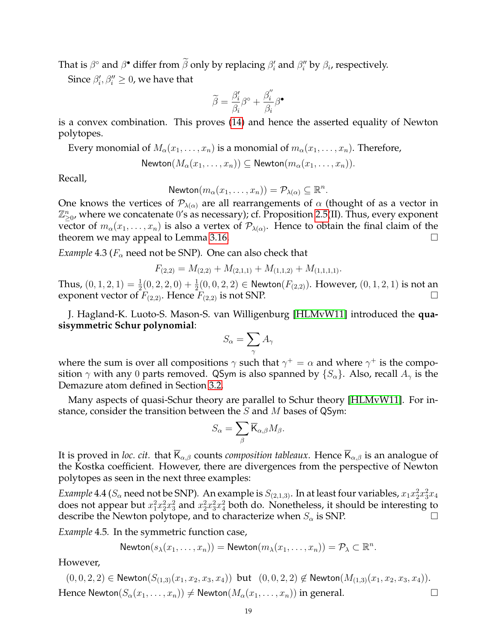That is  $\beta^{\circ}$  and  $\beta^{\bullet}$  differ from  $\tilde{\beta}$  only by replacing  $\beta'_i$  and  $\beta''_i$  by  $\beta_i$ , respectively.

Since  $\beta'_i, \beta''_i \geq 0$ , we have that

$$
\widetilde{\beta} = \frac{\beta_i'}{\beta_i} \beta^\circ + \frac{\beta_i''}{\beta_i} \beta^\bullet
$$

is a convex combination. This proves [\(14\)](#page-17-1) and hence the asserted equality of Newton polytopes.

Every monomial of  $M_{\alpha}(x_1,\ldots,x_n)$  is a monomial of  $m_{\alpha}(x_1,\ldots,x_n)$ . Therefore,

$$
\mathsf{Newton}(M_\alpha(x_1,\ldots,x_n)) \subseteq \mathsf{Newton}(m_\alpha(x_1,\ldots,x_n)).
$$

Recall,

Newton
$$
(m_{\alpha}(x_1,\ldots,x_n)) = \mathcal{P}_{\lambda(\alpha)} \subseteq \mathbb{R}^n
$$
.

One knows the vertices of  $P_{\lambda(\alpha)}$  are all rearrangements of  $\alpha$  (thought of as a vector in  $\mathbb{Z}_{\geq 0}^n$ , where we concatenate 0's as necessary); cf. Proposition [2.5\(](#page-3-0)II). Thus, every exponent vector of  $m_\alpha(x_1,\ldots,x_n)$  is also a vertex of  $\mathcal{P}_{\lambda(\alpha)}$ . Hence to obtain the final claim of the theorem we may appeal to Lemma [3.16.](#page-16-1)

*Example* 4.3 ( $F_\alpha$  need not be SNP). One can also check that

$$
F_{(2,2)} = M_{(2,2)} + M_{(2,1,1)} + M_{(1,1,2)} + M_{(1,1,1,1)}.
$$

Thus,  $(0,1,2,1)=\frac{1}{2}(0,2,2,0)+\frac{1}{2}(0,0,2,2)\in\mathsf{Newton}(F_{(2,2)}).$  However,  $(0,1,2,1)$  is not an exponent vector of  $F_{(2,2)}$ . Hence  $F_{(2,2)}$  is not SNP.

J. Hagland-K. Luoto-S. Mason-S. van Willigenburg [\[HLMvW11\]](#page-28-4) introduced the **quasisymmetric Schur polynomial**:

$$
S_{\alpha} = \sum_{\gamma} A_{\gamma}
$$

where the sum is over all compositions  $\gamma$  such that  $\gamma^+=\alpha$  and where  $\gamma^+$  is the composition  $\gamma$  with any 0 parts removed. QSym is also spanned by  $\{S_{\alpha}\}\$ . Also, recall  $A_{\gamma}$  is the Demazure atom defined in Section [3.2.](#page-14-3)

Many aspects of quasi-Schur theory are parallel to Schur theory [\[HLMvW11\]](#page-28-4). For instance, consider the transition between the  $S$  and  $M$  bases of QSym:

$$
S_{\alpha} = \sum_{\beta} \overline{\mathsf{K}}_{\alpha,\beta} M_{\beta}.
$$

It is proved in *loc. cit.* that  $\overline{K}_{\alpha,\beta}$  counts *composition tableaux*. Hence  $\overline{K}_{\alpha,\beta}$  is an analogue of the Kostka coefficient. However, there are divergences from the perspective of Newton polytopes as seen in the next three examples:

*Example* 4.4 ( $S_\alpha$  need not be SNP). An example is  $S_{(2,1,3)}$ . In at least four variables,  $x_1x_2^2x_3^2x_4$ does not appear but  $x_1^2x_2^2x_3^2$  and  $x_2^2x_3^2x_4^2$  both do. Nonetheless, it should be interesting to describe the Newton polytope, and to characterize when  $S_{\alpha}$  is SNP.

*Example* 4.5*.* In the symmetric function case,

Newton
$$
(s_{\lambda}(x_1,\ldots,x_n))
$$
 = Newton $(m_{\lambda}(x_1,\ldots,x_n))$  =  $\mathcal{P}_{\lambda}$   $\subset \mathbb{R}^n$ .

However,

 $(0, 0, 2, 2) \in \mathsf{Newton}(S_{(1,3)}(x_1, x_2, x_3, x_4))$  but  $(0, 0, 2, 2) \notin \mathsf{Newton}(M_{(1,3)}(x_1, x_2, x_3, x_4)).$ Hence Newton $(S_\alpha(x_1, \ldots, x_n)) \neq \text{Newton}(M_\alpha(x_1, \ldots, x_n))$  in general.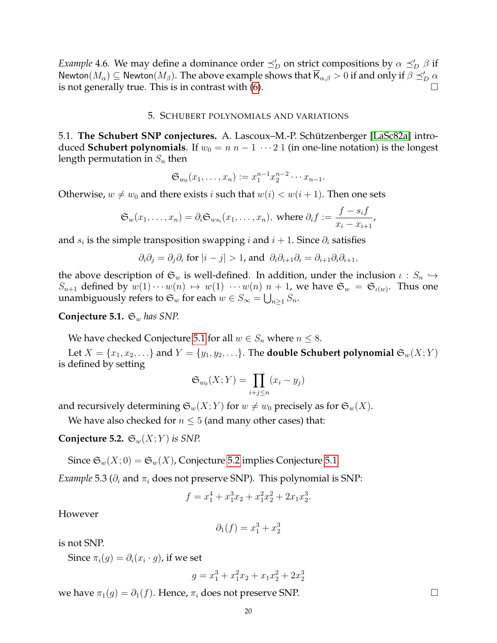*Example* 4.6. We may define a dominance order  $\preceq'_D$  on strict compositions by  $\alpha \preceq'_D \beta$  if Newton $(M_\alpha)\subseteq$  Newton $(M_\beta).$  The above example shows that  $\overline{\mathsf{K}}_{\alpha,\beta}>0$  if and only if  $\beta\preceq_D'\alpha$ is not generally true. This is in contrast with  $(6)$ .

#### 5. SCHUBERT POLYNOMIALS AND VARIATIONS

<span id="page-19-1"></span>5.1. **The Schubert SNP conjectures.** A. Lascoux–M.-P. Schutzenberger [\[LaSc82a\]](#page-28-20) intro- ¨ duced **Schubert polynomials**. If  $w_0 = n n - 1 \cdots 2 1$  (in one-line notation) is the longest length permutation in  $S_n$  then

$$
\mathfrak{S}_{w_0}(x_1,\ldots,x_n):=x_1^{n-1}x_2^{n-2}\cdots x_{n-1}.
$$

Otherwise,  $w \neq w_0$  and there exists i such that  $w(i) < w(i + 1)$ . Then one sets

$$
\mathfrak{S}_w(x_1,\ldots,x_n)=\partial_i\mathfrak{S}_{ws_i}(x_1,\ldots,x_n),\text{ where }\partial_if:=\frac{f-s_if}{x_i-x_{i+1}},
$$

and  $s_i$  is the simple transposition swapping  $i$  and  $i + 1$ . Since  $\partial_i$  satisfies

$$
\partial_i \partial_j = \partial_j \partial_i
$$
 for  $|i - j| > 1$ , and  $\partial_i \partial_{i+1} \partial_i = \partial_{i+1} \partial_i \partial_{i+1}$ ,

the above description of  $\mathfrak{S}_w$  is well-defined. In addition, under the inclusion  $\iota : S_n \hookrightarrow$  $S_{n+1}$  defined by  $w(1)\cdots w(n) \mapsto w(1) \cdots w(n)$   $n+1$ , we have  $\mathfrak{S}_w = \mathfrak{S}_{\iota(w)}$ . Thus one unambiguously refers to  $\mathfrak{S}_w$  for each  $w \in S_\infty = \bigcup_{n \geq 1} S_n$ .

## <span id="page-19-0"></span>**Conjecture 5.1.**  $\mathfrak{S}_w$  has SNP.

We have checked Conjecture [5.1](#page-19-0) for all  $w \in S_n$  where  $n \leq 8$ .

Let  $X = \{x_1, x_2, \ldots\}$  and  $Y = \{y_1, y_2, \ldots\}$ . The **double Schubert polynomial**  $\mathfrak{S}_w(X; Y)$ is defined by setting

$$
\mathfrak{S}_{w_0}(X;Y) = \prod_{i+j \leq n} (x_i - y_j)
$$

and recursively determining  $\mathfrak{S}_w(X;Y)$  for  $w \neq w_0$  precisely as for  $\mathfrak{S}_w(X)$ .

We have also checked for  $n \leq 5$  (and many other cases) that:

<span id="page-19-2"></span>**Conjecture 5.2.**  $\mathfrak{S}_w(X;Y)$  *is SNP.* 

Since  $\mathfrak{S}_w(X;0) = \mathfrak{S}_w(X)$ , Conjecture [5.2](#page-19-2) implies Conjecture [5.1.](#page-19-0)

*Example* 5.3 ( $\partial_i$  and  $\pi_i$  does not preserve SNP). This polynomial is SNP:

$$
f = x_1^4 + x_1^3 x_2 + x_1^2 x_2^2 + 2x_1 x_2^3.
$$

However

$$
\partial_1(f) = x_1^3 + x_2^3
$$

is not SNP.

Since  $\pi_i(g) = \partial_i (x_i \cdot g)$ , if we set

$$
g = x_1^3 + x_1^2 x_2 + x_1 x_2^2 + 2 x_2^3
$$

we have  $\pi_1(g) = \partial_1(f)$ . Hence,  $\pi_i$  does not preserve SNP.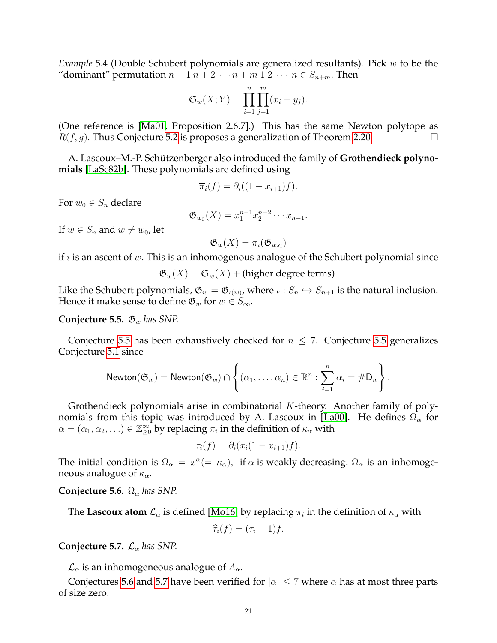<span id="page-20-2"></span>*Example* 5.4 (Double Schubert polynomials are generalized resultants)*.* Pick w to be the "dominant" permutation  $n + 1$   $n + 2 \cdots n + m$  1  $2 \cdots n \in S_{n+m}$ . Then

$$
\mathfrak{S}_w(X;Y) = \prod_{i=1}^n \prod_{j=1}^m (x_i - y_j).
$$

(One reference is [\[Ma01,](#page-28-21) Proposition 2.6.7].) This has the same Newton polytope as  $R(f, g)$ . Thus Conjecture [5.2](#page-19-2) is proposes a generalization of Theorem [2.20.](#page-8-0)

A. Lascoux–M.-P. Schützenberger also introduced the family of **Grothendieck polynomials** [\[LaSc82b\]](#page-28-22). These polynomials are defined using

$$
\overline{\pi}_i(f) = \partial_i((1 - x_{i+1})f).
$$

For  $w_0 \in S_n$  declare

$$
\mathfrak{G}_{w_0}(X) = x_1^{n-1} x_2^{n-2} \cdots x_{n-1}.
$$

If  $w \in S_n$  and  $w \neq w_0$ , let

$$
\mathfrak{G}_w(X)=\overline{\pi}_i(\mathfrak{G}_{ws_i})
$$

if  $i$  is an ascent of  $w$ . This is an inhomogenous analogue of the Schubert polynomial since

 $\mathfrak{G}_w(X) = \mathfrak{S}_w(X) +$  (higher degree terms).

Like the Schubert polynomials,  $\mathfrak{G}_w = \mathfrak{G}_{\iota(w)}$ , where  $\iota : S_n \hookrightarrow S_{n+1}$  is the natural inclusion. Hence it make sense to define  $\mathfrak{G}_w$  for  $w \in S_{\infty}$ .

#### <span id="page-20-0"></span>**Conjecture 5.5.**  $\mathfrak{G}_w$  *has SNP.*

Conjecture [5.5](#page-20-0) has been exhaustively checked for  $n \leq 7$ . Conjecture 5.5 generalizes Conjecture [5.1](#page-19-0) since

$$
\mathsf{Newton}(\mathfrak{S}_w) = \mathsf{Newton}(\mathfrak{G}_w) \cap \left\{ (\alpha_1, \ldots, \alpha_n) \in \mathbb{R}^n : \sum_{i=1}^n \alpha_i = \#D_w \right\}.
$$

Grothendieck polynomials arise in combinatorial  $K$ -theory. Another family of poly-nomials from this topic was introduced by A. Lascoux in [\[La00\]](#page-28-23). He defines  $\Omega_{\alpha}$  for  $\alpha=(\alpha_1,\alpha_2,\ldots)\in\mathbb{Z}_{\geq 0}^\infty$  by replacing  $\pi_i$  in the definition of  $\kappa_\alpha$  with

$$
\tau_i(f) = \partial_i(x_i(1 - x_{i+1})f).
$$

The initial condition is  $\Omega_{\alpha} = x^{\alpha} (= \kappa_{\alpha})$ , if  $\alpha$  is weakly decreasing.  $\Omega_{\alpha}$  is an inhomogeneous analogue of  $\kappa_{\alpha}$ .

<span id="page-20-1"></span>**Conjecture 5.6.**  $\Omega_{\alpha}$  has SNP.

The **Lascoux atom**  $\mathcal{L}_{\alpha}$  is defined [\[Mo16\]](#page-28-24) by replacing  $\pi_i$  in the definition of  $\kappa_{\alpha}$  with

$$
\widehat{\tau}_i(f)=(\tau_i-1)f.
$$

# <span id="page-20-3"></span>**Conjecture 5.7.**  $\mathcal{L}_{\alpha}$  has SNP.

 $\mathcal{L}_{\alpha}$  is an inhomogeneous analogue of  $A_{\alpha}$ .

Conjectures [5.6](#page-20-1) and [5.7](#page-20-3) have been verified for  $|\alpha| \leq 7$  where  $\alpha$  has at most three parts of size zero.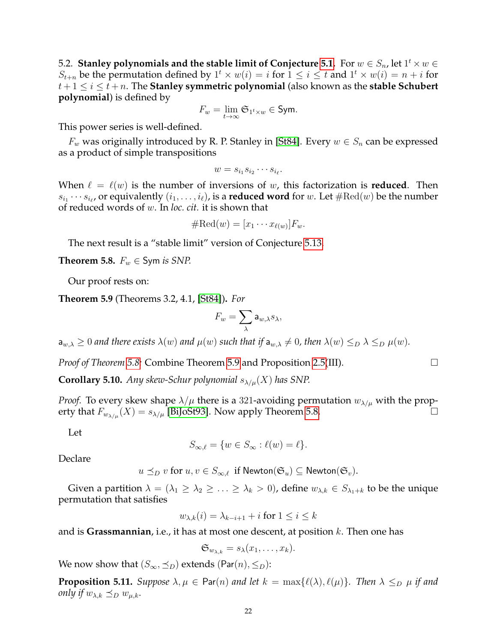5.2. Stanley polynomials and the stable limit of Conjecture [5.1.](#page-19-0) For  $w\in S_n$ , let  $1^t\times w\in S_n$  $S_{t+n}$  be the permutation defined by  $1^t \times w(i) = i$  for  $1 \le i \le t$  and  $1^t \times w(i) = n + i$  for  $t+1 \leq i \leq t+n$ . The **Stanley symmetric polynomial** (also known as the **stable Schubert polynomial**) is defined by

$$
F_w = \lim_{t \to \infty} \mathfrak{S}_{1^t \times w} \in \mathsf{Sym}.
$$

This power series is well-defined.

 $F_w$  was originally introduced by R. P. Stanley in [\[St84\]](#page-28-3). Every  $w \in S_n$  can be expressed as a product of simple transpositions

$$
w = s_{i_1} s_{i_2} \cdots s_{i_\ell}.
$$

When  $\ell = \ell(w)$  is the number of inversions of w, this factorization is **reduced**. Then  $s_{i_1}\cdots s_{i_\ell}$ , or equivalently  $(i_1,\ldots,i_\ell)$ , is a **reduced word** for  $w.$  Let  $\#\mathrm{Red}(w)$  be the number of reduced words of w. In *loc. cit.* it is shown that

$$
\#\mathrm{Red}(w)=[x_1\cdots x_{\ell(w)}]F_w.
$$

The next result is a "stable limit" version of Conjecture [5.13.](#page-22-0)

<span id="page-21-0"></span>**Theorem 5.8.**  $F_w \in Sym$  *is SNP.* 

Our proof rests on:

<span id="page-21-1"></span>**Theorem 5.9** (Theorems 3.2, 4.1, [\[St84\]](#page-28-3))**.** *For*

$$
F_w=\sum_{\lambda}{\sf a}_{w,\lambda}s_{\lambda},
$$

 $a_{w,\lambda} \geq 0$  *and there exists*  $\lambda(w)$  *and*  $\mu(w)$  *such that if*  $a_{w,\lambda} \neq 0$ *, then*  $\lambda(w) \leq_D \lambda \leq_D \mu(w)$ *.* 

*Proof of Theorem [5.8:](#page-21-0)* Combine Theorem [5.9](#page-21-1) and Proposition [2.5\(](#page-3-0)III).

**Corollary 5.10.** *Any skew-Schur polynomial*  $s_{\lambda/\mu}(X)$  *has SNP.* 

*Proof.* To every skew shape  $\lambda/\mu$  there is a 321-avoiding permutation  $w_{\lambda/\mu}$  with the property that  $F_{w_{\lambda/\mu}}(X) = s_{\lambda/\mu}$  [\[BiJoSt93\]](#page-27-7). Now apply Theorem [5.8.](#page-21-0)

Let

$$
S_{\infty,\ell} = \{ w \in S_{\infty} : \ell(w) = \ell \}.
$$

Declare

 $u \preceq_D v$  for  $u, v \in S_{\infty, \ell}$  if Newton $(\mathfrak{S}_u) \subseteq$  Newton $(\mathfrak{S}_v)$ .

Given a partition  $\lambda = (\lambda_1 \geq \lambda_2 \geq \ldots \geq \lambda_k > 0)$ , define  $w_{\lambda,k} \in S_{\lambda_1+k}$  to be the unique permutation that satisfies

$$
w_{\lambda,k}(i) = \lambda_{k-i+1} + i \text{ for } 1 \le i \le k
$$

and is **Grassmannian**, i.e., it has at most one descent, at position k. Then one has

$$
\mathfrak{S}_{w_{\lambda,k}}=s_{\lambda}(x_1,\ldots,x_k).
$$

We now show that  $(S_\infty, \preceq_D)$  extends (Par $(n), \leq_D$ ):

**Proposition 5.11.** *Suppose*  $\lambda, \mu \in \text{Par}(n)$  *and let*  $k = \max{\{\ell(\lambda), \ell(\mu)\}}$ *. Then*  $\lambda \leq_D \mu$  *if and only if*  $w_{\lambda,k} \preceq_D w_{\mu,k}$ *.*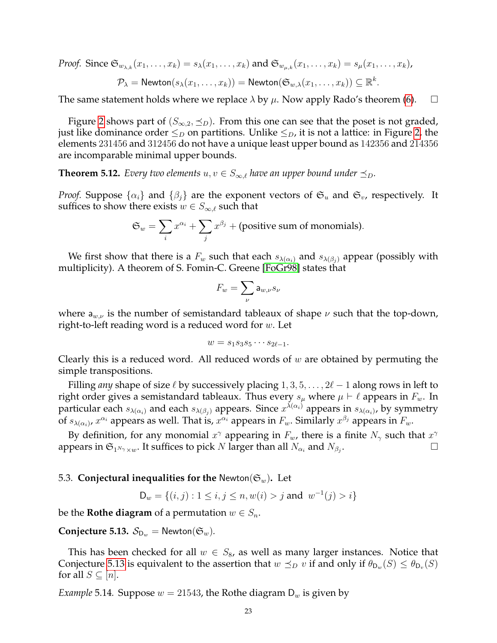*Proof.* Since 
$$
\mathfrak{S}_{w_{\lambda,k}}(x_1,\ldots,x_k) = s_{\lambda}(x_1,\ldots,x_k)
$$
 and  $\mathfrak{S}_{w_{\mu,k}}(x_1,\ldots,x_k) = s_{\mu}(x_1,\ldots,x_k)$ ,  
\n
$$
\mathcal{P}_{\lambda} = \mathsf{Newton}(s_{\lambda}(x_1,\ldots,x_k)) = \mathsf{Newton}(\mathfrak{S}_{w,\lambda}(x_1,\ldots,x_k)) \subseteq \mathbb{R}^k.
$$

The same statement holds where we replace  $\lambda$  by  $\mu$ . Now apply Rado's theorem [\(6\)](#page-4-0).  $\Box$ 

Figure [2](#page-23-0) shows part of  $(S_{\infty,2}, \preceq_D)$ . From this one can see that the poset is not graded, just like dominance order  $\leq_D$  on partitions. Unlike  $\leq_D$ , it is not a lattice: in Figure [2,](#page-23-0) the elements 231456 and 312456 do not have a unique least upper bound as 142356 and 214356 are incomparable minimal upper bounds.

**Theorem 5.12.** *Every two elements*  $u, v \in S_{\infty,\ell}$  *have an upper bound under*  $\preceq_D$ *.* 

*Proof.* Suppose  $\{\alpha_i\}$  and  $\{\beta_j\}$  are the exponent vectors of  $\mathfrak{S}_u$  and  $\mathfrak{S}_v$ , respectively. It suffices to show there exists  $w \in S_{\infty,\ell}$  such that

$$
\mathfrak{S}_w = \sum_i x^{\alpha_i} + \sum_j x^{\beta_j} + \text{(positive sum of monomials)}.
$$

We first show that there is a  $F_w$  such that each  $s_{\lambda(\alpha_i)}$  and  $s_{\lambda(\beta_i)}$  appear (possibly with multiplicity). A theorem of S. Fomin-C. Greene [\[FoGr98\]](#page-28-25) states that

$$
F_w = \sum_{\nu} \mathsf{a}_{w,\nu} s_{\nu}
$$

where  $a_{w,\nu}$  is the number of semistandard tableaux of shape  $\nu$  such that the top-down, right-to-left reading word is a reduced word for  $w$ . Let

$$
w = s_1 s_3 s_5 \cdots s_{2\ell-1}.
$$

Clearly this is a reduced word. All reduced words of  $w$  are obtained by permuting the simple transpositions.

Filling *any* shape of size  $\ell$  by successively placing  $1, 3, 5, \ldots, 2\ell - 1$  along rows in left to right order gives a semistandard tableaux. Thus every  $s_\mu$  where  $\mu \vdash \ell$  appears in  $F_w$ . In particular each  $s_{\lambda(\alpha_i)}$  and each  $s_{\lambda(\beta_j)}$  appears. Since  $x^{\lambda(\alpha_i)}$  appears in  $s_{\lambda(\alpha_i)}$ , by symmetry of  $s_{\lambda(\alpha_i)}$ ,  $x^{\alpha_i}$  appears as well. That is,  $x^{\alpha_i}$  appears in  $F_w$ . Similarly  $x^{\beta_j}$  appears in  $F_w$ .

By definition, for any monomial  $x^{\gamma}$  appearing in  $F_w$ , there is a finite  $N_{\gamma}$  such that  $x^{\gamma}$ appears in  $\mathfrak{S}_{1^{N_{\gamma}}\times w}.$  It suffices to pick  $N$  larger than all  $N_{\alpha_{i}}$  and  $N_{\beta_{j}}$ .

## 5.3. **Conjectural inequalities for the** Newton( $\mathfrak{S}_w$ ). Let

$$
\mathsf{D}_w = \{(i, j) : 1 \le i, j \le n, w(i) > j \text{ and } w^{-1}(j) > i\}
$$

be the **Rothe diagram** of a permutation  $w \in S_n$ .

<span id="page-22-0"></span>**Conjecture 5.13.**  $\mathcal{S}_{D_w}$  = Newton( $\mathfrak{S}_w$ ).

This has been checked for all  $w \in S_8$ , as well as many larger instances. Notice that Conjecture [5.13](#page-22-0) is equivalent to the assertion that  $w \preceq_D v$  if and only if  $\theta_{\mathsf{D}_w}(S) \leq \theta_{\mathsf{D}_v}(S)$ for all  $S \subseteq [n]$ .

<span id="page-22-1"></span>*Example* 5.14*.* Suppose  $w = 21543$ , the Rothe diagram  $D_w$  is given by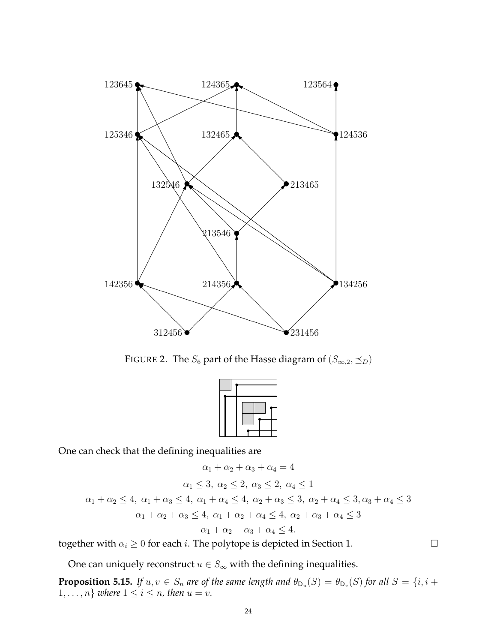

<span id="page-23-0"></span>FIGURE 2. The  $S_6$  part of the Hasse diagram of  $(S_{\infty,2}, \preceq_D)$ 



One can check that the defining inequalities are

$$
\alpha_1 + \alpha_2 + \alpha_3 + \alpha_4 = 4
$$
  
\n
$$
\alpha_1 \le 3, \ \alpha_2 \le 2, \ \alpha_3 \le 2, \ \alpha_4 \le 1
$$
  
\n
$$
\alpha_1 + \alpha_2 \le 4, \ \alpha_1 + \alpha_3 \le 4, \ \alpha_1 + \alpha_4 \le 4, \ \alpha_2 + \alpha_3 \le 3, \ \alpha_2 + \alpha_4 \le 3, \ \alpha_3 + \alpha_4 \le 3
$$
  
\n
$$
\alpha_1 + \alpha_2 + \alpha_3 \le 4, \ \alpha_1 + \alpha_2 + \alpha_4 \le 4, \ \alpha_2 + \alpha_3 + \alpha_4 \le 3
$$
  
\n
$$
\alpha_1 + \alpha_2 + \alpha_3 + \alpha_4 \le 4.
$$

together with  $\alpha_i \geq 0$  for each *i*. The polytope is depicted in Section 1.

One can uniquely reconstruct  $u \in S_{\infty}$  with the defining inequalities.

**Proposition 5.15.** If  $u, v \in S_n$  are of the same length and  $\theta_{D_u}(S) = \theta_{D_v}(S)$  for all  $S = \{i, i +$  $1, \ldots, n$  *where*  $1 \leq i \leq n$ *, then*  $u = v$ *.*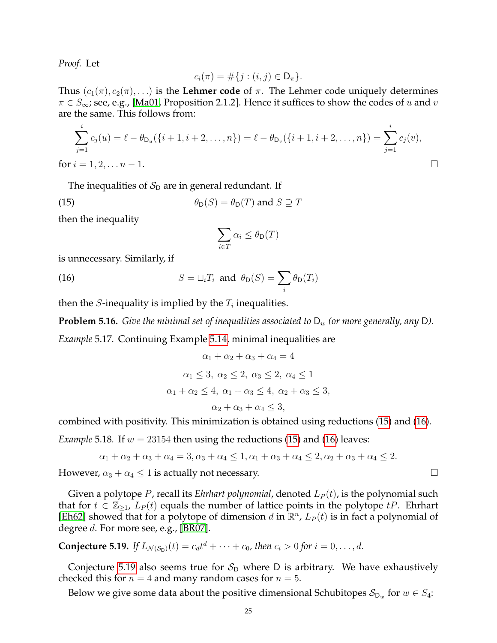*Proof.* Let

$$
c_i(\pi) = \#\{j : (i,j) \in \mathsf{D}_{\pi}\}.
$$

Thus  $(c_1(\pi), c_2(\pi), ...)$  is the Lehmer code of  $\pi$ . The Lehmer code uniquely determines  $\pi \in S_{\infty}$ ; see, e.g., [\[Ma01,](#page-28-21) Proposition 2.1.2]. Hence it suffices to show the codes of u and v are the same. This follows from:

$$
\sum_{j=1}^{i} c_j(u) = \ell - \theta_{\mathsf{D}_u}(\{i+1, i+2, \dots, n\}) = \ell - \theta_{\mathsf{D}_v}(\{i+1, i+2, \dots, n\}) = \sum_{j=1}^{i} c_j(v),
$$
  
for  $i = 1, 2, \dots n - 1$ .

The inequalities of  $S_D$  are in general redundant. If

(15) 
$$
\theta_{\mathsf{D}}(S) = \theta_{\mathsf{D}}(T) \text{ and } S \supseteq T
$$

then the inequality

<span id="page-24-2"></span><span id="page-24-1"></span>
$$
\sum_{i \in T} \alpha_i \leq \theta_{\mathsf{D}}(T)
$$

is unnecessary. Similarly, if

(16) 
$$
S = \sqcup_i T_i \text{ and } \theta_D(S) = \sum_i \theta_D(T_i)
$$

then the *S*-inequality is implied by the  $T_i$  inequalities.

**Problem 5.16.** *Give the minimal set of inequalities associated to*  $D_w$  *(or more generally, any D).* 

*Example* 5.17*.* Continuing Example [5.14,](#page-22-1) minimal inequalities are

$$
\alpha_1 + \alpha_2 + \alpha_3 + \alpha_4 = 4
$$
  
\n
$$
\alpha_1 \le 3, \ \alpha_2 \le 2, \ \alpha_3 \le 2, \ \alpha_4 \le 1
$$
  
\n
$$
\alpha_1 + \alpha_2 \le 4, \ \alpha_1 + \alpha_3 \le 4, \ \alpha_2 + \alpha_3 \le 3,
$$
  
\n
$$
\alpha_2 + \alpha_3 + \alpha_4 \le 3,
$$

combined with positivity. This minimization is obtained using reductions [\(15\)](#page-24-1) and [\(16\)](#page-24-2).

*Example* 5.18*.* If  $w = 23154$  then using the reductions [\(15\)](#page-24-1) and [\(16\)](#page-24-2) leaves:

$$
\alpha_1 + \alpha_2 + \alpha_3 + \alpha_4 = 3, \alpha_3 + \alpha_4 \le 1, \alpha_1 + \alpha_3 + \alpha_4 \le 2, \alpha_2 + \alpha_3 + \alpha_4 \le 2.
$$

However,  $\alpha_3 + \alpha_4 \leq 1$  is actually not necessary.

Given a polytope P, recall its *Ehrhart polynomial*, denoted  $L_P(t)$ , is the polynomial such that for  $t \in \mathbb{Z}_{\geq 1}$ ,  $L_P(t)$  equals the number of lattice points in the polytope  $tP$ . Ehrhart [\[Eh62\]](#page-28-26) showed that for a polytope of dimension d in  $\mathbb{R}^n$ ,  $L_P(t)$  is in fact a polynomial of degree d. For more see, e.g., [\[BR07\]](#page-27-8).

<span id="page-24-0"></span>**Conjecture 5.19.** If 
$$
L_{\mathcal{N}(\mathcal{S}_D)}(t) = c_d t^d + \cdots + c_0
$$
, then  $c_i > 0$  for  $i = 0, ..., d$ .

Conjecture [5.19](#page-24-0) also seems true for  $S_D$  where D is arbitrary. We have exhaustively checked this for  $n = 4$  and many random cases for  $n = 5$ .

Below we give some data about the positive dimensional Schubitopes  $\mathcal{S}_{{\sf D}_w}$  for  $w\in S_4$ :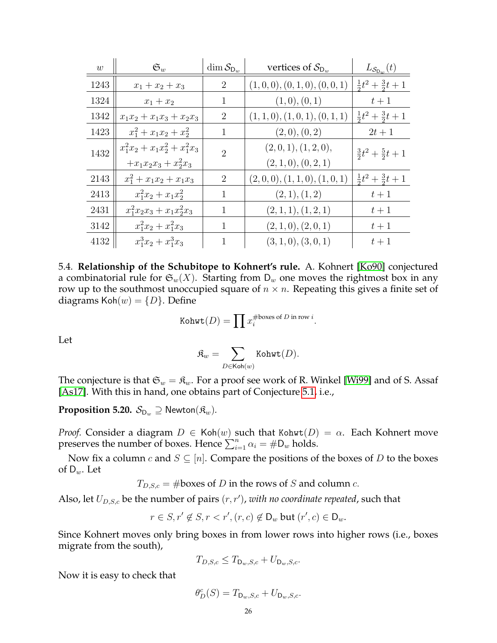| w    | $\mathfrak{S}_w$                 | $\dim \mathcal{S}_{D_w}$ | vertices of $\mathcal{S}_{D_w}$ | $L_{\mathcal{S}_{\mathsf{D}_w}}(t)$ |
|------|----------------------------------|--------------------------|---------------------------------|-------------------------------------|
| 1243 | $x_1 + x_2 + x_3$                | $\overline{2}$           | (1,0,0), (0,1,0), (0,0,1)       | $\frac{1}{2}t^2 + \frac{3}{2}t + 1$ |
| 1324 | $x_1 + x_2$                      | 1                        | (1,0), (0,1)                    | $t+1$                               |
| 1342 | $x_1x_2 + x_1x_3 + x_2x_3$       | $\overline{2}$           | (1, 1, 0), (1, 0, 1), (0, 1, 1) | $\frac{1}{2}t^2 + \frac{3}{2}t + 1$ |
| 1423 | $x_1^2 + x_1x_2 + x_2^2$         | 1                        | (2,0), (0,2)                    | $2t+1$                              |
| 1432 | $x_1^2x_2 + x_1x_2^2 + x_1^2x_3$ | $\mathfrak{D}$           | (2,0,1), (1,2,0),               | $\frac{3}{2}t^2 + \frac{5}{2}t + 1$ |
|      | $+x_1x_2x_3+x_2^2x_3$            |                          | (2,1,0), (0,2,1)                |                                     |
| 2143 | $x_1^2 + x_1x_2 + x_1x_3$        | $\overline{2}$           | (2,0,0), (1,1,0), (1,0,1)       | $\frac{1}{2}t^2 + \frac{3}{2}t + 1$ |
| 2413 | $x_1^2x_2 + x_1x_2^2$            | 1                        | (2,1), (1,2)                    | $t+1$                               |
| 2431 | $x_1^2x_2x_3 + x_1x_2^2x_3$      | 1                        | (2,1,1), (1,2,1)                | $t+1$                               |
| 3142 | $x_1^2x_2+x_1^2x_3$              | 1                        | (2,1,0), (2,0,1)                | $t+1$                               |
| 4132 | $x_1^3x_2+x_1^3x_3$              | 1                        | (3,1,0), (3,0,1)                | $t+1$                               |

| 5.4. Relationship of the Schubitope to Kohnert's rule. A. Kohnert [Ko90] conjectured                           |
|----------------------------------------------------------------------------------------------------------------|
| a combinatorial rule for $\mathfrak{S}_w(X)$ . Starting from $\mathsf{D}_w$ one moves the rightmost box in any |
| row up to the southmost unoccupied square of $n \times n$ . Repeating this gives a finite set of               |
| diagrams $\text{Koh}(w) = \{D\}$ . Define                                                                      |

Kohwt
$$
(D)
$$
 =  $\prod x_i^{\#boxes \text{ of } D \text{ in row } i}$ .

Let

$$
\mathfrak{K}_w = \sum_{D \in \mathsf{Koh}(w)} \mathsf{Kohwt}(D).
$$

The conjecture is that  $\mathfrak{S}_w = \mathfrak{K}_w$ . For a proof see work of R. Winkel [\[Wi99\]](#page-29-4) and of S. Assaf [\[As17\]](#page-27-9). With this in hand, one obtains part of Conjecture [5.1,](#page-19-0) i.e.,

<span id="page-25-0"></span>**Proposition 5.20.**  $\mathcal{S}_{D_w} \supseteq \mathsf{Newton}(\mathfrak{K}_w)$ .

*Proof.* Consider a diagram  $D \in \text{Koh}(w)$  such that Kohwt $(D) = \alpha$ . Each Kohnert move preserves the number of boxes. Hence  $\sum_{i=1}^{n} \alpha_i = \#D_w$  holds.

Now fix a column  $c$  and  $S \subseteq [n]$ . Compare the positions of the boxes of  $D$  to the boxes of  $D_w$ . Let

 $T_{D,S,c} = \text{\#boxes of } D \text{ in the rows of } S \text{ and column } c.$ 

Also, let  $U_{D,S,c}$  be the number of pairs  $(r, r')$ , *with no coordinate repeated*, such that

$$
r \in S, r' \notin S, r < r', (r, c) \notin \mathsf{D}_w \text{ but } (r', c) \in \mathsf{D}_w.
$$

Since Kohnert moves only bring boxes in from lower rows into higher rows (i.e., boxes migrate from the south),

$$
T_{D,S,c} \leq T_{\mathsf{D}_w,S,c} + U_{\mathsf{D}_w,S,c}.
$$

Now it is easy to check that

$$
\theta_D^c(S)=T_{\mathsf{D}_w,S,c}+U_{\mathsf{D}_w,S,c}.
$$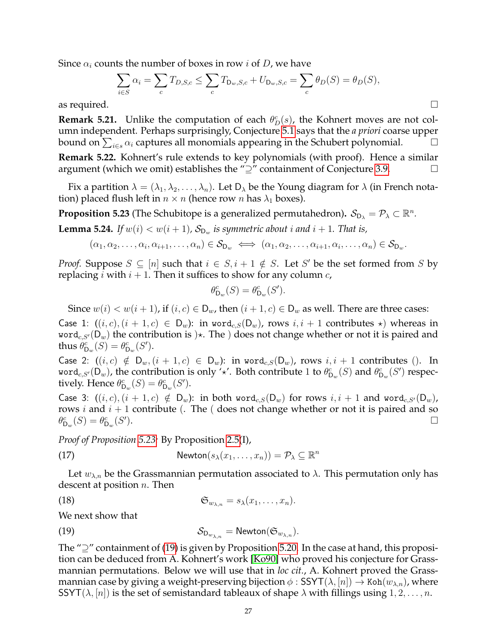Since  $\alpha_i$  counts the number of boxes in row *i* of *D*, we have

$$
\sum_{i \in S} \alpha_i = \sum_c T_{D,S,c} \le \sum_c T_{D_w,S,c} + U_{D_w,S,c} = \sum_c \theta_D(S) = \theta_D(S),
$$
 as required.

<span id="page-26-1"></span>**Remark 5.21.** Unlike the computation of each  $\theta_D^c(s)$ , the Kohnert moves are not column independent. Perhaps surprisingly, Conjecture [5.1](#page-19-0) says that the *a priori* coarse upper bound on  $\sum_{i \in s} \alpha_i$  captures all monomials appearing in the Schubert polynomial.  $\Box$ 

<span id="page-26-2"></span>**Remark 5.22.** Kohnert's rule extends to key polynomials (with proof). Hence a similar argument (which we omit) establishes the "⊇" containment of Conjecture [3.9.](#page-14-1)

Fix a partition  $\lambda = (\lambda_1, \lambda_2, \dots, \lambda_n)$ . Let  $D_\lambda$  be the Young diagram for  $\lambda$  (in French notation) placed flush left in  $n \times n$  (hence row n has  $\lambda_1$  boxes).

<span id="page-26-0"></span>**Proposition 5.23** (The Schubitope is a generalized permutahedron).  $\mathcal{S}_{D_{\lambda}} = \mathcal{P}_{\lambda} \subset \mathbb{R}^n$ .

<span id="page-26-4"></span>**Lemma 5.24.** If  $w(i) < w(i + 1)$ ,  $\mathcal{S}_{D_w}$  is symmetric about i and  $i + 1$ . That is,

$$
(\alpha_1, \alpha_2, \ldots, \alpha_i, \alpha_{i+1}, \ldots, \alpha_n) \in \mathcal{S}_{D_w} \iff (\alpha_1, \alpha_2, \ldots, \alpha_{i+1}, \alpha_i, \ldots, \alpha_n) \in \mathcal{S}_{D_w}.
$$

*Proof.* Suppose  $S \subseteq [n]$  such that  $i \in S, i+1 \notin S$ . Let S' be the set formed from S by replacing *i* with  $i + 1$ . Then it suffices to show for any column *c*,

$$
\theta_{\mathsf{D}_w}^c(S) = \theta_{\mathsf{D}_w}^c(S').
$$

Since  $w(i) < w(i+1)$ , if  $(i, c) \in D_w$ , then  $(i + 1, c) \in D_w$  as well. There are three cases:

Case 1:  $((i, c), (i + 1, c) \in D_w)$ : in word<sub>c,S</sub> $(D_w)$ , rows  $i, i + 1$  contributes  $\star$ ) whereas in word<sub>c,S'</sub>( $D_w$ ) the contribution is  $)\star$ . The ) does not change whether or not it is paired and thus  $\theta_{\mathsf{D}_w}^c(S) = \theta_{\mathsf{D}_w}^c(S')$ .

Case 2:  $((i, c) \notin D_w, (i + 1, c) \in D_w)$ : in word<sub>c,S</sub>(D<sub>w</sub>), rows  $i, i + 1$  contributes (). In word $_{c,S'}(D_w)$ , the contribution is only ' $\star'$ . Both contribute 1 to  $\theta_{D_w}^c(S)$  and  $\theta_{D_w}^c(S')$  respectively. Hence  $\theta_{\mathsf{D}_w}^c(S) = \theta_{\mathsf{D}_w}^c(S')$ .

Case 3:  $((i, c), (i + 1, c) \notin D_w)$ : in both word<sub>c,S</sub>(D<sub>w</sub>) for rows  $i, i + 1$  and word<sub>c,S'</sub>(D<sub>w</sub>), rows i and  $i + 1$  contribute (. The ( does not change whether or not it is paired and so  $\theta_{\mathsf{D}_w}^c(S) = \theta_{\mathsf{D}_w}^c(S')$ ).

*Proof of Proposition [5.23:](#page-26-0)* By Proposition [2.5\(](#page-3-0)I),

<span id="page-26-6"></span>(17) 
$$
\mathsf{Newton}(s_{\lambda}(x_1,\ldots,x_n)) = \mathcal{P}_{\lambda} \subseteq \mathbb{R}^n
$$

Let  $w_{\lambda,n}$  be the Grassmannian permutation associated to  $\lambda$ . This permutation only has descent at position  $n$ . Then

<span id="page-26-5"></span>(18) 
$$
\mathfrak{S}_{w_{\lambda,n}} = s_{\lambda}(x_1,\ldots,x_n).
$$

We next show that

<span id="page-26-3"></span>(19) 
$$
\mathcal{S}_{D_{w_{\lambda,n}}} = \mathsf{Newton}(\mathfrak{S}_{w_{\lambda,n}}).
$$

The " $\supseteq$ " containment of [\(19\)](#page-26-3) is given by Proposition [5.20.](#page-25-0) In the case at hand, this proposition can be deduced from A. Kohnert's work [\[Ko90\]](#page-28-5) who proved his conjecture for Grassmannian permutations. Below we will use that in *loc cit.*, A. Kohnert proved the Grassmannian case by giving a weight-preserving bijection  $\phi$  : SSYT( $\lambda$ ,  $[n]$ )  $\rightarrow$  Koh( $w_{\lambda,n}$ ), where SSYT( $\lambda$ , [n]) is the set of semistandard tableaux of shape  $\lambda$  with fillings using  $1, 2, ..., n$ .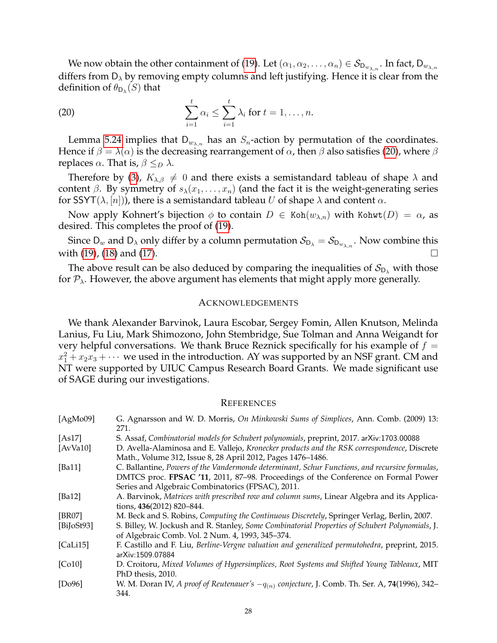We now obtain the other containment of [\(19\)](#page-26-3). Let  $(\alpha_1,\alpha_2,\ldots,\alpha_n)\in\mathcal{S}_{\mathsf{D}_{w_{\lambda,n}}}$ . In fact,  $\mathsf{D}_{w_{\lambda,n}}$ differs from  $D_{\lambda}$  by removing empty columns and left justifying. Hence it is clear from the definition of  $\theta_{\mathsf{D}_{\lambda}}(S)$  that

<span id="page-27-10"></span>(20) 
$$
\sum_{i=1}^t \alpha_i \leq \sum_{i=1}^t \lambda_i \text{ for } t = 1,\ldots,n.
$$

Lemma [5.24](#page-26-4) implies that  $D_{w_{\lambda,n}}$  has an  $S_n$ -action by permutation of the coordinates. Hence if  $\beta = \lambda(\alpha)$  is the decreasing rearrangement of  $\alpha$ , then  $\beta$  also satisfies [\(20\)](#page-27-10), where  $\beta$ replaces  $\alpha$ . That is,  $\beta \leq_D \lambda$ .

Therefore by [\(3\)](#page-2-3),  $K_{\lambda,\beta} \neq 0$  and there exists a semistandard tableau of shape  $\lambda$  and content  $\beta$ . By symmetry of  $s_{\lambda}(x_1, \ldots, x_n)$  (and the fact it is the weight-generating series for SSYT( $\lambda$ , [n])), there is a semistandard tableau U of shape  $\lambda$  and content  $\alpha$ .

Now apply Kohnert's bijection  $\phi$  to contain  $D \in \text{Koh}(w_{\lambda,n})$  with Kohwt $(D) = \alpha$ , as desired. This completes the proof of [\(19\)](#page-26-3).

Since  $D_w$  and  $D_\lambda$  only differ by a column permutation  $S_{D_\lambda} = S_{D_{w_{\lambda,n}}}$ . Now combine this with  $(19)$ ,  $(18)$  and  $(17)$ .

The above result can be also deduced by comparing the inequalities of  $S_{D_{\lambda}}$  with those for  $P_{\lambda}$ . However, the above argument has elements that might apply more generally.

#### ACKNOWLEDGEMENTS

We thank Alexander Barvinok, Laura Escobar, Sergey Fomin, Allen Knutson, Melinda Lanius, Fu Liu, Mark Shimozono, John Stembridge, Sue Tolman and Anna Weigandt for very helpful conversations. We thank Bruce Reznick specifically for his example of  $f =$  $x_1^2 + x_2x_3 + \cdots$  we used in the introduction. AY was supported by an NSF grant. CM and NT were supported by UIUC Campus Research Board Grants. We made significant use of SAGE during our investigations.

# **REFERENCES**

<span id="page-27-9"></span><span id="page-27-8"></span><span id="page-27-7"></span><span id="page-27-6"></span><span id="page-27-5"></span><span id="page-27-4"></span><span id="page-27-3"></span><span id="page-27-2"></span><span id="page-27-1"></span><span id="page-27-0"></span>

| [AgMo09]                     | G. Agnarsson and W. D. Morris, On Minkowski Sums of Simplices, Ann. Comb. (2009) 13:<br>271.                                                                                                                                             |
|------------------------------|------------------------------------------------------------------------------------------------------------------------------------------------------------------------------------------------------------------------------------------|
| [As17]                       | S. Assaf, Combinatorial models for Schubert polynomials, preprint, 2017. arXiv:1703.00088                                                                                                                                                |
| [ $AvVa10$ ]                 | D. Avella-Alaminosa and E. Vallejo, Kronecker products and the RSK correspondence, Discrete<br>Math., Volume 312, Issue 8, 28 April 2012, Pages 1476-1486.                                                                               |
| [ $Ba11$ ]                   | C. Ballantine, Powers of the Vandermonde determinant, Schur Functions, and recursive formulas,<br>DMTCS proc. FPSAC '11, 2011, 87-98. Proceedings of the Conference on Formal Power<br>Series and Algebraic Combinatorics (FPSAC), 2011. |
| [ $Ba12$ ]                   | A. Barvinok, Matrices with prescribed row and column sums, Linear Algebra and its Applica-<br>tions, 436(2012) 820-844.                                                                                                                  |
| [BR07]                       | M. Beck and S. Robins, Computing the Continuous Discretely, Springer Verlag, Berlin, 2007.                                                                                                                                               |
| $[Bi]$ <sub>o</sub> $St93$ ] | S. Billey, W. Jockush and R. Stanley, Some Combinatorial Properties of Schubert Polynomials, J.<br>of Algebraic Comb. Vol. 2 Num. 4, 1993, 345-374.                                                                                      |
| [Cali15]                     | F. Castillo and F. Liu, Berline-Vergne valuation and generalized permutohedra, preprint, 2015.<br>arXiv:1509.07884                                                                                                                       |
| [Co10]                       | D. Croitoru, Mixed Volumes of Hypersimplices, Root Systems and Shifted Young Tableaux, MIT<br>PhD thesis, 2010.                                                                                                                          |
| [Do96]                       | W. M. Doran IV, A proof of Reutenauer's $-q_{(n)}$ conjecture, J. Comb. Th. Ser. A, 74(1996), 342–<br>344.                                                                                                                               |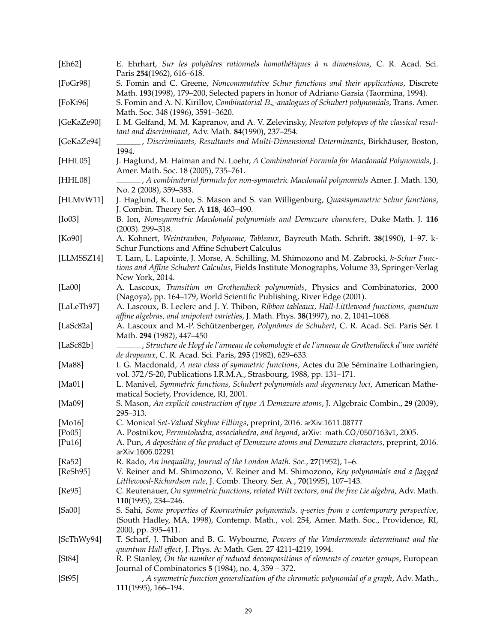<span id="page-28-26"></span><span id="page-28-25"></span><span id="page-28-24"></span><span id="page-28-23"></span><span id="page-28-22"></span><span id="page-28-21"></span><span id="page-28-20"></span><span id="page-28-19"></span><span id="page-28-18"></span><span id="page-28-17"></span><span id="page-28-16"></span><span id="page-28-15"></span><span id="page-28-14"></span><span id="page-28-13"></span><span id="page-28-12"></span><span id="page-28-11"></span><span id="page-28-10"></span><span id="page-28-9"></span><span id="page-28-8"></span><span id="page-28-7"></span><span id="page-28-6"></span><span id="page-28-5"></span><span id="page-28-4"></span><span id="page-28-3"></span><span id="page-28-2"></span><span id="page-28-1"></span><span id="page-28-0"></span>

| [Eh62]     | E. Ehrhart, Sur les polyèdres rationnels homothétiques à n dimensions, C. R. Acad. Sci.                                                                                                     |
|------------|---------------------------------------------------------------------------------------------------------------------------------------------------------------------------------------------|
|            | Paris 254(1962), 616-618.                                                                                                                                                                   |
| [FoGr98]   | S. Fomin and C. Greene, Noncommutative Schur functions and their applications, Discrete                                                                                                     |
|            | Math. 193(1998), 179-200, Selected papers in honor of Adriano Garsia (Taormina, 1994).<br>S. Fomin and A. N. Kirillov, Combinatorial $B_n$ -analogues of Schubert polynomials, Trans. Amer. |
| [FoKi96]   | Math. Soc. 348 (1996), 3591-3620.                                                                                                                                                           |
| [GeKaZe90] | I. M. Gelfand, M. M. Kapranov, and A. V. Zelevinsky, Newton polytopes of the classical resul-                                                                                               |
|            | tant and discriminant, Adv. Math. 84(1990), 237-254.                                                                                                                                        |
| [GeKaZe94] | Discriminants, Resultants and Multi-Dimensional Determinants, Birkhäuser, Boston,                                                                                                           |
|            | 1994.                                                                                                                                                                                       |
| [HHL05]    | J. Haglund, M. Haiman and N. Loehr, A Combinatorial Formula for Macdonald Polynomials, J.                                                                                                   |
|            | Amer. Math. Soc. 18 (2005), 735-761.                                                                                                                                                        |
| [HHL08]    | , A combinatorial formula for non-symmetric Macdonald polynomials Amer. J. Math. 130,                                                                                                       |
|            | No. 2 (2008), 359-383.                                                                                                                                                                      |
| [HLMvW11]  | J. Haglund, K. Luoto, S. Mason and S. van Willigenburg, Quasisymmetric Schur functions,                                                                                                     |
|            | J. Combin. Theory Ser. A 118, 463-490.                                                                                                                                                      |
| [Io03]     | B. Ion, Nonsymmetric Macdonald polynomials and Demazure characters, Duke Math. J. 116                                                                                                       |
|            | $(2003)$ . 299-318.                                                                                                                                                                         |
| [Ko90]     | A. Kohnert, Weintrauben, Polynome, Tableaux, Bayreuth Math. Schrift. 38(1990), 1-97. k-                                                                                                     |
|            | Schur Functions and Affine Schubert Calculus                                                                                                                                                |
| [LLMSSZ14] | T. Lam, L. Lapointe, J. Morse, A. Schilling, M. Shimozono and M. Zabrocki, k-Schur Func-                                                                                                    |
|            | tions and Affine Schubert Calculus, Fields Institute Monographs, Volume 33, Springer-Verlag                                                                                                 |
|            | New York, 2014.                                                                                                                                                                             |
| [La00]     | A. Lascoux, Transition on Grothendieck polynomials, Physics and Combinatorics, 2000                                                                                                         |
|            | (Nagoya), pp. 164-179, World Scientific Publishing, River Edge (2001).                                                                                                                      |
| [LaLeTh97] | A. Lascoux, B. Leclerc and J. Y. Thibon, Ribbon tableaux, Hall-Littlewood functions, quantum                                                                                                |
|            | affine algebras, and unipotent varieties, J. Math. Phys. 38(1997), no. 2, 1041-1068.                                                                                                        |
| [LaSc82a]  | A. Lascoux and M.-P. Schützenberger, Polynômes de Schubert, C. R. Acad. Sci. Paris Sér. I<br>Math. 294 (1982), 447-450                                                                      |
| [Lasc82b]  | Structure de Hopf de l'anneau de cohomologie et de l'anneau de Grothendieck d'une variété ( , و  ,  ,                                                                                       |
|            | de drapeaux, C. R. Acad. Sci. Paris, 295 (1982), 629-633.                                                                                                                                   |
| [Ma88]     | I. G. Macdonald, A new class of symmetric functions, Actes du 20e Séminaire Lotharingien,                                                                                                   |
|            | vol. 372/S-20, Publications I.R.M.A., Strasbourg, 1988, pp. 131-171.                                                                                                                        |
| [Ma01]     | L. Manivel, Symmetric functions, Schubert polynomials and degeneracy loci, American Mathe-                                                                                                  |
|            | matical Society, Providence, RI, 2001.                                                                                                                                                      |
| [Ma09]     | S. Mason, An explicit construction of type A Demazure atoms, J. Algebraic Combin., 29 (2009),                                                                                               |
|            | 295-313.                                                                                                                                                                                    |
| [ $Mo16$ ] | C. Monical Set-Valued Skyline Fillings, preprint, 2016. arXiv:1611.08777                                                                                                                    |
| [Po05]     | A. Postnikov, Permutohedra, associahedra, and beyond, arXiv: math.CO/0507163v1, 2005.                                                                                                       |
| [Pu16]     | A. Pun, A deposition of the product of Demazure atoms and Demazure characters, preprint, 2016.                                                                                              |
|            | arXiv:1606.02291                                                                                                                                                                            |
| [Ra52]     | R. Rado, An inequality, Journal of the London Math. Soc., 27(1952), 1–6.                                                                                                                    |
| [ReSh95]   | V. Reiner and M. Shimozono, V. Reiner and M. Shimozono, Key polynomials and a flagged                                                                                                       |
|            | Littlewood-Richardson rule, J. Comb. Theory. Ser. A., 70(1995), 107-143.                                                                                                                    |
| [Re95]     | C. Reutenauer, On symmetric functions, related Witt vectors, and the free Lie algebra, Adv. Math.                                                                                           |
|            | 110(1995), 234-246.                                                                                                                                                                         |
| [Sa00]     | S. Sahi, Some properties of Koornwinder polynomials, q-series from a contemporary perspective,                                                                                              |
|            | (South Hadley, MA, 1998), Contemp. Math., vol. 254, Amer. Math. Soc., Providence, RI,<br>2000, pp. 395-411.                                                                                 |
| [ScThWy94] | T. Scharf, J. Thibon and B. G. Wybourne, Powers of the Vandermonde determinant and the                                                                                                      |
|            | quantum Hall effect, J. Phys. A: Math. Gen. 27 4211-4219, 1994.                                                                                                                             |
| [St84]     | R. P. Stanley, On the number of reduced decompositions of elements of coxeter groups, European                                                                                              |
|            | Journal of Combinatorics 5 (1984), no. 4, 359 – 372.                                                                                                                                        |
| [St95]     | , A symmetric function generalization of the chromatic polynomial of a graph, Adv. Math.,                                                                                                   |
|            | $111(1995)$ , 166–194.                                                                                                                                                                      |